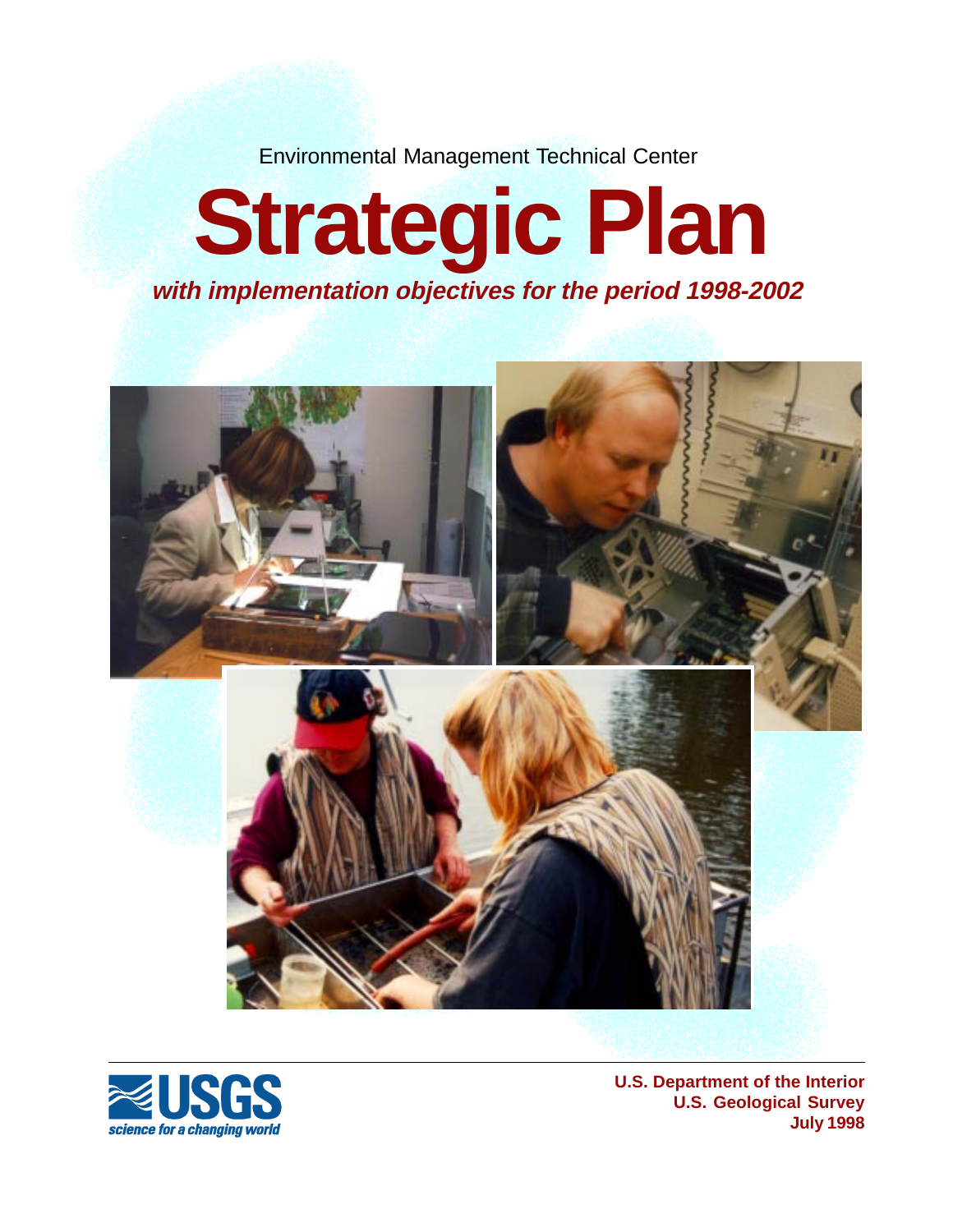Environmental Management Technical Center

# **Strategic Plan with implementation objectives for the period 1998-2002**





**U.S. Department of the Interior U.S. Geological Survey July 1998**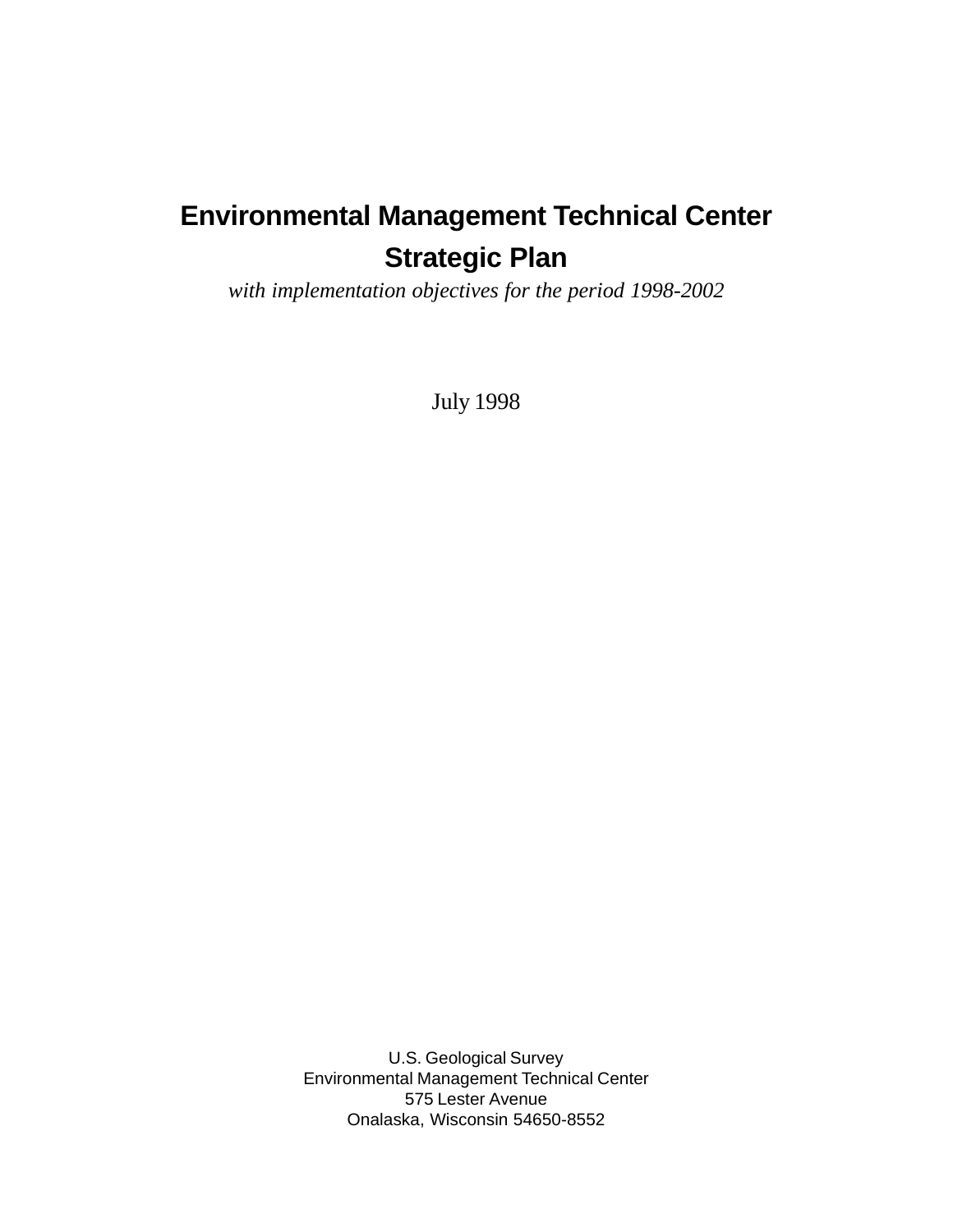## **Strategic Plan Environmental Management Technical Center**

*with implementation objectives for the period 1998-2002*

July 1998

U.S. Geological Survey Environmental Management Technical Center 575 Lester Avenue Onalaska, Wisconsin 54650-8552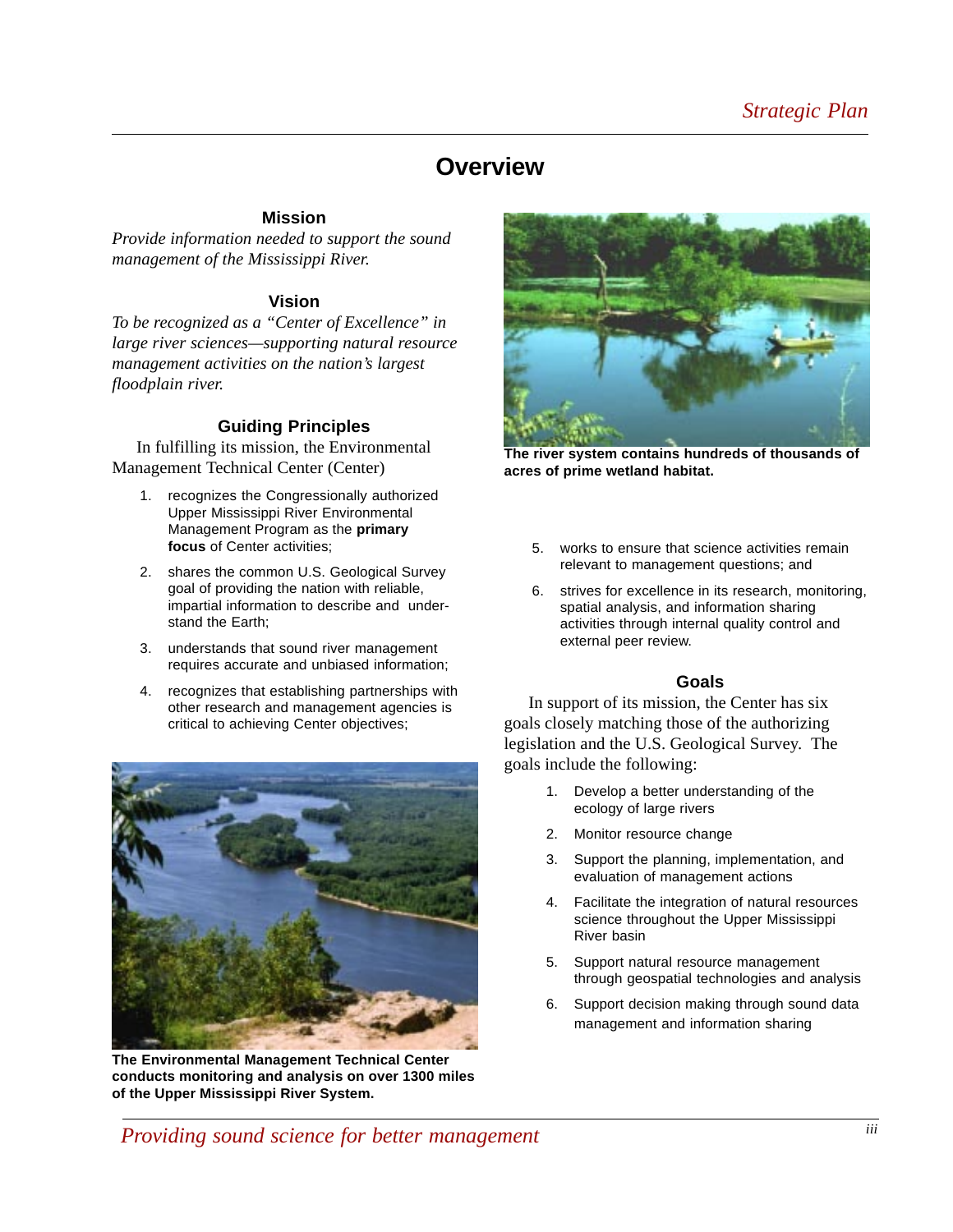## **Overview**

#### **Mission**

*Provide information needed to support the sound management of the Mississippi River.*

#### **Vision**

*To be recognized as a "Center of Excellence" in large river sciences—supporting natural resource management activities on the nation's largest floodplain river.*

#### **Guiding Principles**

In fulfilling its mission, the Environmental Management Technical Center (Center)

- 1. recognizes the Congressionally authorized Upper Mississippi River Environmental Management Program as the **primary focus** of Center activities;
- 2. shares the common U.S. Geological Survey goal of providing the nation with reliable, impartial information to describe and understand the Earth;
- 3. understands that sound river management requires accurate and unbiased information;
- 4. recognizes that establishing partnerships with other research and management agencies is critical to achieving Center objectives;



**The Environmental Management Technical Center conducts monitoring and analysis on over 1300 miles of the Upper Mississippi River System.**



**The river system contains hundreds of thousands of acres of prime wetland habitat.**

- 5. works to ensure that science activities remain relevant to management questions; and
- 6. strives for excellence in its research, monitoring, spatial analysis, and information sharing activities through internal quality control and external peer review.

#### **Goals**

In support of its mission, the Center has six goals closely matching those of the authorizing legislation and the U.S. Geological Survey. The goals include the following:

- 1. Develop a better understanding of the ecology of large rivers
- 2. Monitor resource change
- 3. Support the planning, implementation, and evaluation of management actions
- 4. Facilitate the integration of natural resources science throughout the Upper Mississippi River basin
- 5. Support natural resource management through geospatial technologies and analysis
- 6. Support decision making through sound data management and information sharing

*Providing sound science for better management*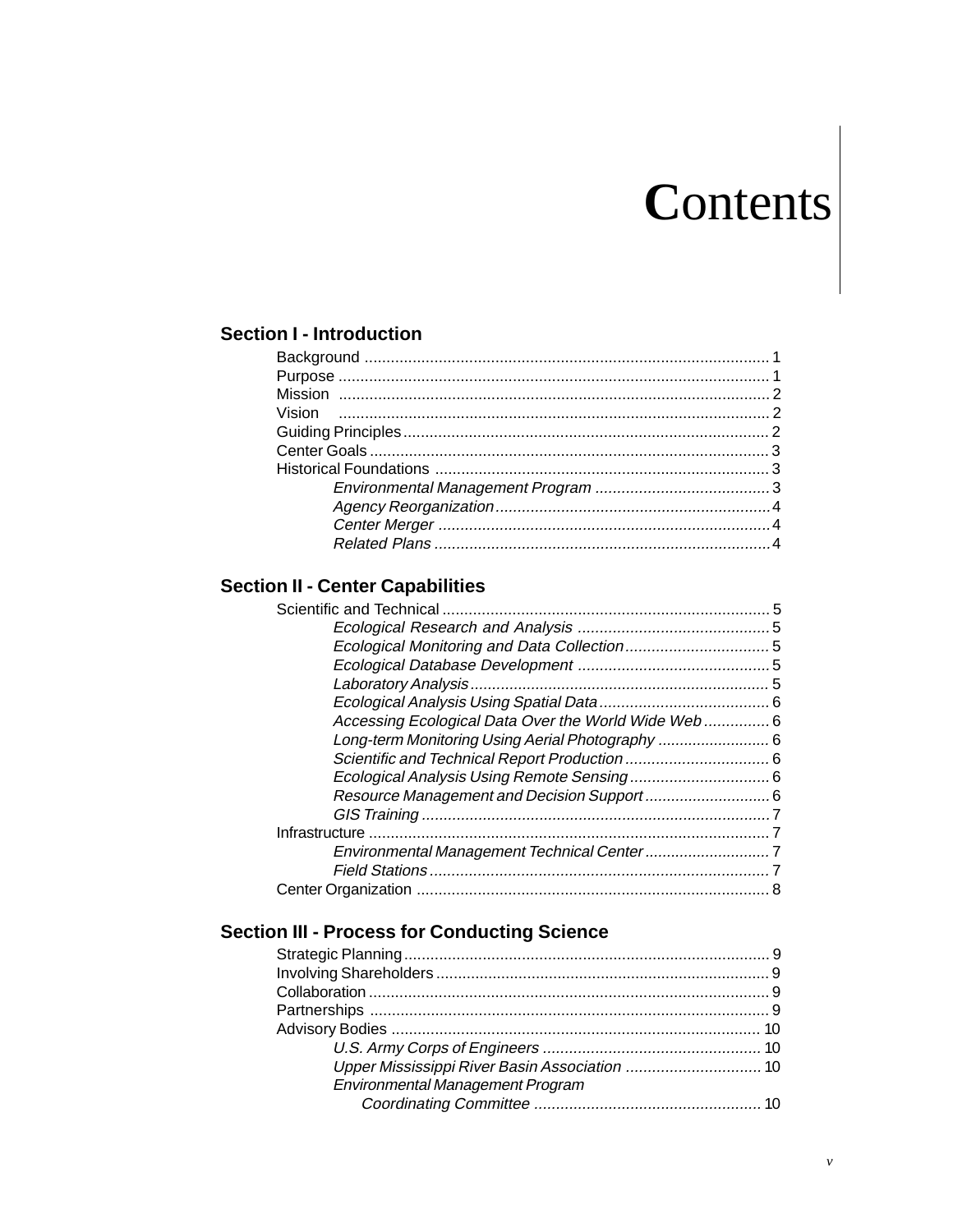# Contents

## **Section I - Introduction**

## **Section II - Center Capabilities**

| Accessing Ecological Data Over the World Wide Web 6 |  |
|-----------------------------------------------------|--|
| Long-term Monitoring Using Aerial Photography  6    |  |
|                                                     |  |
|                                                     |  |
|                                                     |  |
|                                                     |  |
|                                                     |  |
|                                                     |  |
|                                                     |  |
|                                                     |  |
|                                                     |  |

## **Section III - Process for Conducting Science**

| Environmental Management Program |  |
|----------------------------------|--|
|                                  |  |
|                                  |  |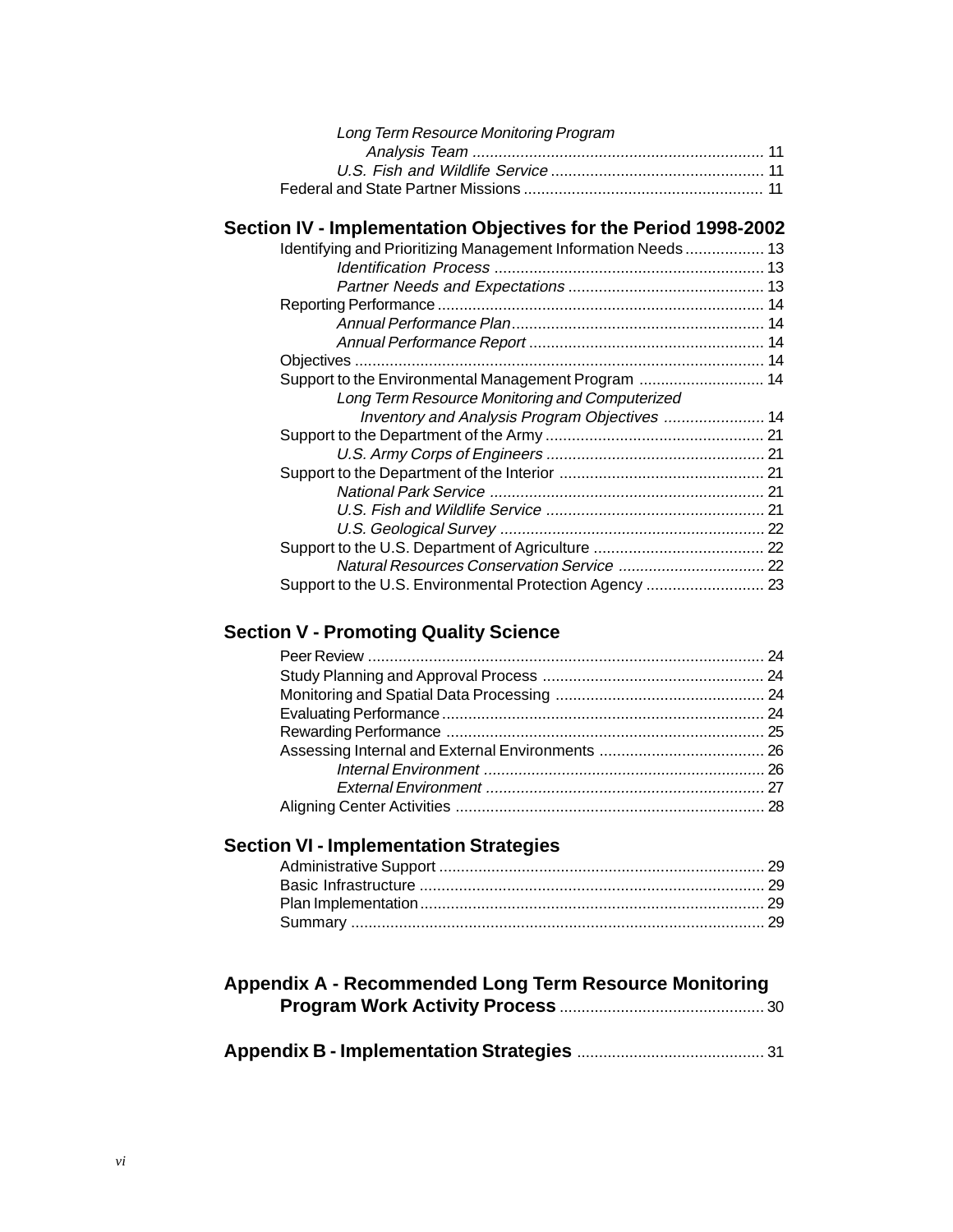| Long Term Resource Monitoring Program |  |
|---------------------------------------|--|
|                                       |  |
|                                       |  |
|                                       |  |

## **Section IV - Implementation Objectives for the Period 1998-2002**

| Identifying and Prioritizing Management Information Needs 13 |  |
|--------------------------------------------------------------|--|
|                                                              |  |
|                                                              |  |
|                                                              |  |
|                                                              |  |
|                                                              |  |
|                                                              |  |
| Support to the Environmental Management Program  14          |  |
| Long Term Resource Monitoring and Computerized               |  |
| Inventory and Analysis Program Objectives  14                |  |
|                                                              |  |
|                                                              |  |
|                                                              |  |
|                                                              |  |
|                                                              |  |
|                                                              |  |
|                                                              |  |
|                                                              |  |
| Support to the U.S. Environmental Protection Agency  23      |  |

## **Section V - Promoting Quality Science**

## **Section VI - Implementation Strategies**

| <b>Appendix A - Recommended Long Term Resource Monitoring</b> |  |
|---------------------------------------------------------------|--|
|                                                               |  |
|                                                               |  |

|--|--|--|--|--|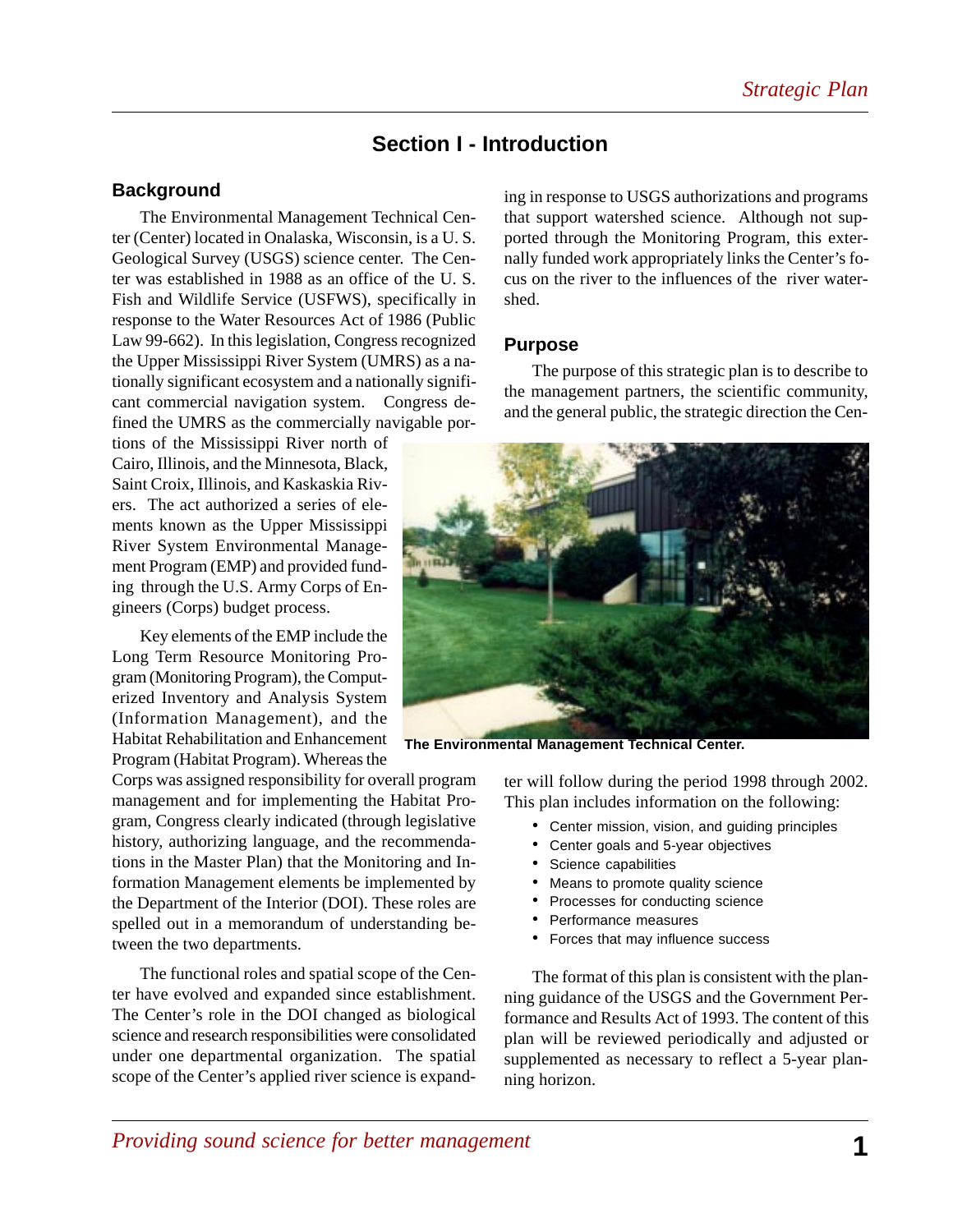## **Section I - Introduction**

#### **Background**

The Environmental Management Technical Center (Center) located in Onalaska, Wisconsin, is a U. S. Geological Survey (USGS) science center. The Center was established in 1988 as an office of the U. S. Fish and Wildlife Service (USFWS), specifically in response to the Water Resources Act of 1986 (Public Law 99-662). In this legislation, Congress recognized the Upper Mississippi River System (UMRS) as a nationally significant ecosystem and a nationally significant commercial navigation system. Congress defined the UMRS as the commercially navigable por-

tions of the Mississippi River north of Cairo, Illinois, and the Minnesota, Black, Saint Croix, Illinois, and Kaskaskia Rivers. The act authorized a series of elements known as the Upper Mississippi River System Environmental Management Program (EMP) and provided funding through the U.S. Army Corps of Engineers (Corps) budget process.

Key elements of the EMP include the Long Term Resource Monitoring Program (Monitoring Program), the Computerized Inventory and Analysis System (Information Management), and the Habitat Rehabilitation and Enhancement Program (Habitat Program). Whereas the

Corps was assigned responsibility for overall program management and for implementing the Habitat Program, Congress clearly indicated (through legislative history, authorizing language, and the recommendations in the Master Plan) that the Monitoring and Information Management elements be implemented by the Department of the Interior (DOI). These roles are spelled out in a memorandum of understanding between the two departments.

The functional roles and spatial scope of the Center have evolved and expanded since establishment. The Center's role in the DOI changed as biological science and research responsibilities were consolidated under one departmental organization. The spatial scope of the Center's applied river science is expanding in response to USGS authorizations and programs that support watershed science. Although not supported through the Monitoring Program, this externally funded work appropriately links the Center's focus on the river to the influences of the river watershed.

#### **Purpose**

The purpose of this strategic plan is to describe to the management partners, the scientific community, and the general public, the strategic direction the Cen-



**The Environmental Management Technical Center.**

ter will follow during the period 1998 through 2002. This plan includes information on the following:

- Center mission, vision, and guiding principles
- Center goals and 5-year objectives
- Science capabilities
- Means to promote quality science
- Processes for conducting science
- Performance measures
- Forces that may influence success

The format of this plan is consistent with the planning guidance of the USGS and the Government Performance and Results Act of 1993. The content of this plan will be reviewed periodically and adjusted or supplemented as necessary to reflect a 5-year planning horizon.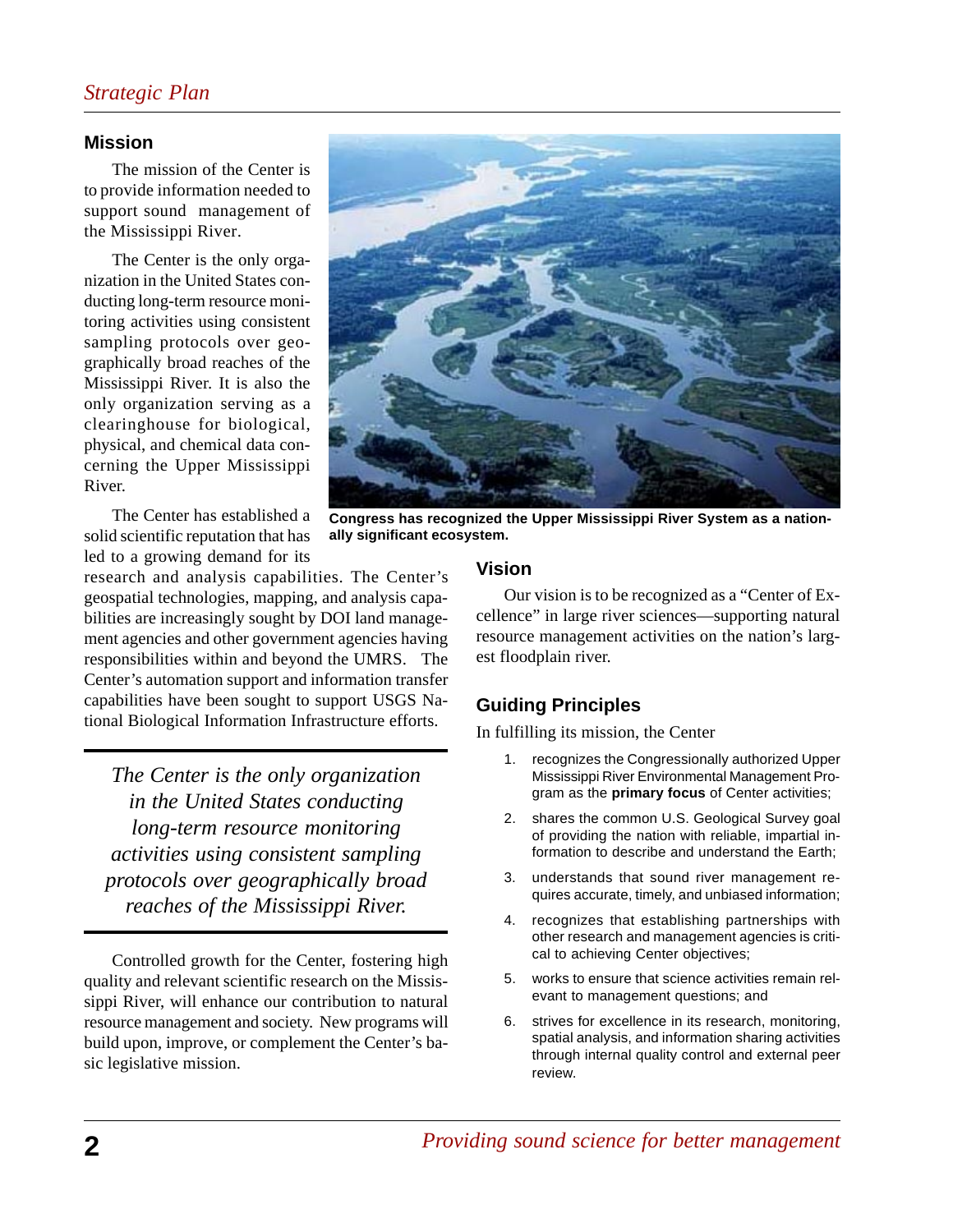## *Strategic Plan*

#### **Mission**

The mission of the Center is to provide information needed to support sound management of the Mississippi River.

The Center is the only organization in the United States conducting long-term resource monitoring activities using consistent sampling protocols over geographically broad reaches of the Mississippi River. It is also the only organization serving as a clearinghouse for biological, physical, and chemical data concerning the Upper Mississippi River.

The Center has established a solid scientific reputation that has led to a growing demand for its

research and analysis capabilities. The Center's geospatial technologies, mapping, and analysis capabilities are increasingly sought by DOI land management agencies and other government agencies having responsibilities within and beyond the UMRS. The Center's automation support and information transfer capabilities have been sought to support USGS National Biological Information Infrastructure efforts.

*The Center is the only organization in the United States conducting long-term resource monitoring activities using consistent sampling protocols over geographically broad reaches of the Mississippi River.*

Controlled growth for the Center, fostering high quality and relevant scientific research on the Mississippi River, will enhance our contribution to natural resource management and society. New programs will build upon, improve, or complement the Center's basic legislative mission.



**Congress has recognized the Upper Mississippi River System as a nationally significant ecosystem.**

## **Vision**

Our vision is to be recognized as a "Center of Excellence" in large river sciences—supporting natural resource management activities on the nation's largest floodplain river.

## **Guiding Principles**

In fulfilling its mission, the Center

- 1. recognizes the Congressionally authorized Upper Mississippi River Environmental Management Program as the **primary focus** of Center activities;
- 2. shares the common U.S. Geological Survey goal of providing the nation with reliable, impartial information to describe and understand the Earth;
- 3. understands that sound river management requires accurate, timely, and unbiased information;
- 4. recognizes that establishing partnerships with other research and management agencies is critical to achieving Center objectives;
- 5. works to ensure that science activities remain relevant to management questions; and
- 6. strives for excellence in its research, monitoring, spatial analysis, and information sharing activities through internal quality control and external peer review.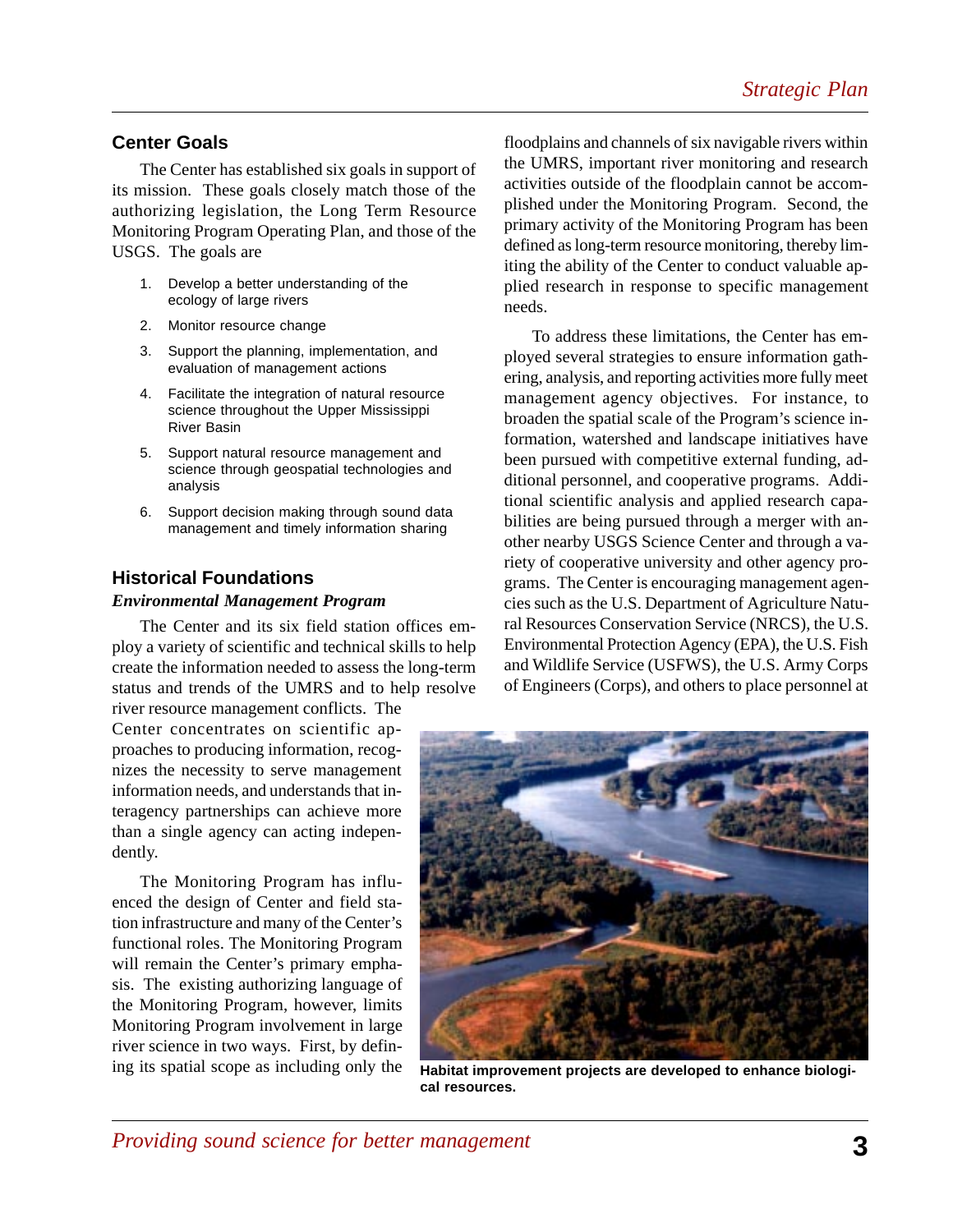## **Center Goals**

The Center has established six goals in support of its mission. These goals closely match those of the authorizing legislation, the Long Term Resource Monitoring Program Operating Plan, and those of the USGS. The goals are

- 1. Develop a better understanding of the ecology of large rivers
- 2. Monitor resource change
- 3. Support the planning, implementation, and evaluation of management actions
- 4. Facilitate the integration of natural resource science throughout the Upper Mississippi River Basin
- 5. Support natural resource management and science through geospatial technologies and analysis
- 6. Support decision making through sound data management and timely information sharing

## **Historical Foundations**

#### *Environmental Management Program*

The Center and its six field station offices employ a variety of scientific and technical skills to help create the information needed to assess the long-term status and trends of the UMRS and to help resolve river resource management conflicts. The

Center concentrates on scientific approaches to producing information, recognizes the necessity to serve management information needs, and understands that interagency partnerships can achieve more than a single agency can acting independently.

The Monitoring Program has influenced the design of Center and field station infrastructure and many of the Center's functional roles. The Monitoring Program will remain the Center's primary emphasis. The existing authorizing language of the Monitoring Program, however, limits Monitoring Program involvement in large river science in two ways. First, by defining its spatial scope as including only the

floodplains and channels of six navigable rivers within the UMRS, important river monitoring and research activities outside of the floodplain cannot be accomplished under the Monitoring Program. Second, the primary activity of the Monitoring Program has been defined as long-term resource monitoring, thereby limiting the ability of the Center to conduct valuable applied research in response to specific management needs.

To address these limitations, the Center has employed several strategies to ensure information gathering, analysis, and reporting activities more fully meet management agency objectives. For instance, to broaden the spatial scale of the Program's science information, watershed and landscape initiatives have been pursued with competitive external funding, additional personnel, and cooperative programs. Additional scientific analysis and applied research capabilities are being pursued through a merger with another nearby USGS Science Center and through a variety of cooperative university and other agency programs. The Center is encouraging management agencies such as the U.S. Department of Agriculture Natural Resources Conservation Service (NRCS), the U.S. Environmental Protection Agency (EPA), the U.S. Fish and Wildlife Service (USFWS), the U.S. Army Corps of Engineers (Corps), and others to place personnel at



**Habitat improvement projects are developed to enhance biological resources.**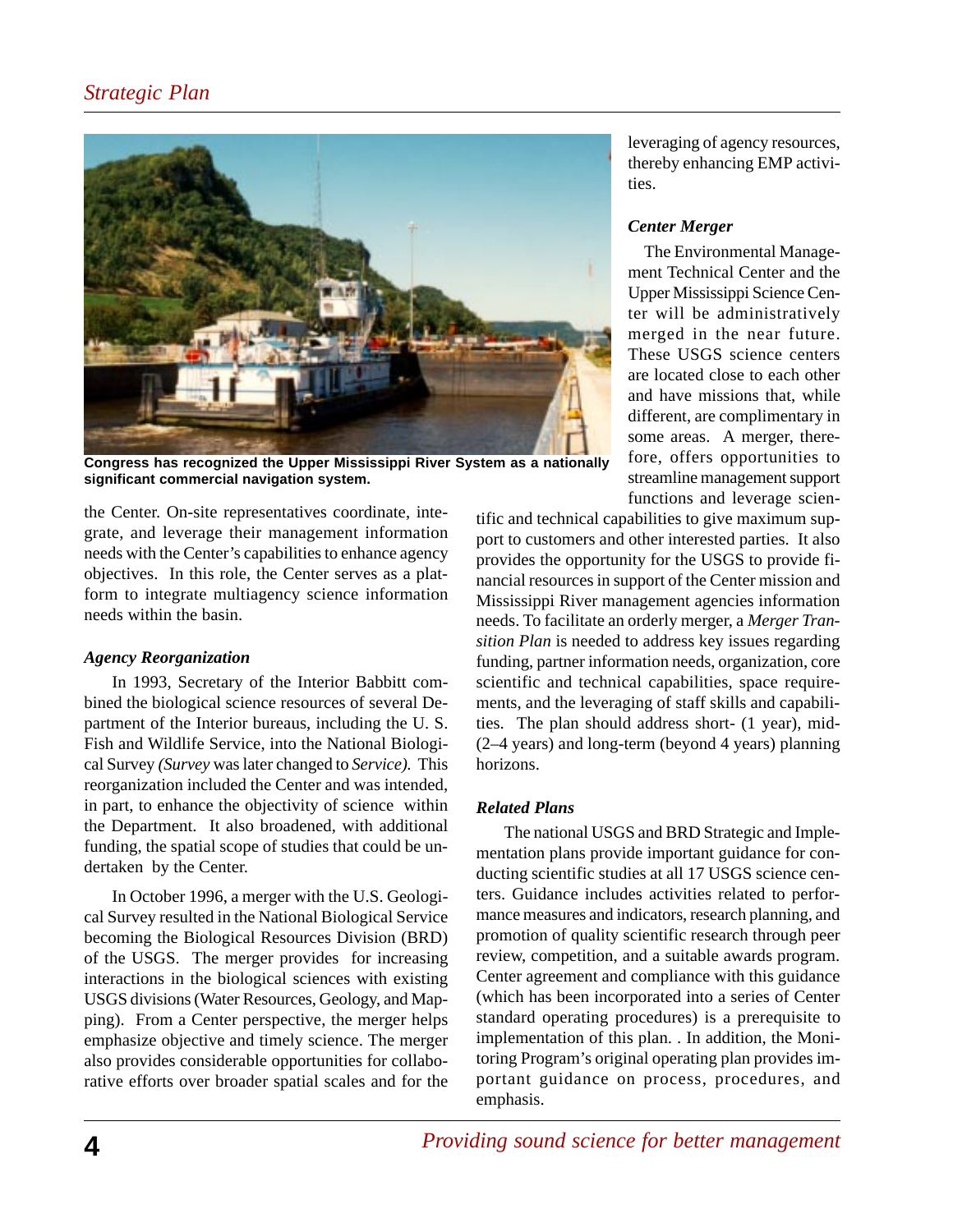

**Congress has recognized the Upper Mississippi River System as a nationally significant commercial navigation system.**

the Center. On-site representatives coordinate, integrate, and leverage their management information needs with the Center's capabilities to enhance agency objectives. In this role, the Center serves as a platform to integrate multiagency science information needs within the basin.

#### *Agency Reorganization*

In 1993, Secretary of the Interior Babbitt combined the biological science resources of several Department of the Interior bureaus, including the U. S. Fish and Wildlife Service, into the National Biological Survey *(Survey* was later changed to *Service).* This reorganization included the Center and was intended, in part, to enhance the objectivity of science within the Department. It also broadened, with additional funding, the spatial scope of studies that could be undertaken by the Center.

In October 1996, a merger with the U.S. Geological Survey resulted in the National Biological Service becoming the Biological Resources Division (BRD) of the USGS. The merger provides for increasing interactions in the biological sciences with existing USGS divisions (Water Resources, Geology, and Mapping). From a Center perspective, the merger helps emphasize objective and timely science. The merger also provides considerable opportunities for collaborative efforts over broader spatial scales and for the

leveraging of agency resources, thereby enhancing EMP activities.

## *Center Merger*

The Environmental Management Technical Center and the Upper Mississippi Science Center will be administratively merged in the near future. These USGS science centers are located close to each other and have missions that, while different, are complimentary in some areas. A merger, therefore, offers opportunities to streamline management support functions and leverage scien-

tific and technical capabilities to give maximum support to customers and other interested parties. It also provides the opportunity for the USGS to provide financial resources in support of the Center mission and Mississippi River management agencies information needs. To facilitate an orderly merger, a *Merger Transition Plan* is needed to address key issues regarding funding, partner information needs, organization, core scientific and technical capabilities, space requirements, and the leveraging of staff skills and capabilities. The plan should address short- (1 year), mid- (2–4 years) and long-term (beyond 4 years) planning horizons.

## *Related Plans*

The national USGS and BRD Strategic and Implementation plans provide important guidance for conducting scientific studies at all 17 USGS science centers. Guidance includes activities related to performance measures and indicators, research planning, and promotion of quality scientific research through peer review, competition, and a suitable awards program. Center agreement and compliance with this guidance (which has been incorporated into a series of Center standard operating procedures) is a prerequisite to implementation of this plan. . In addition, the Monitoring Program's original operating plan provides important guidance on process, procedures, and emphasis.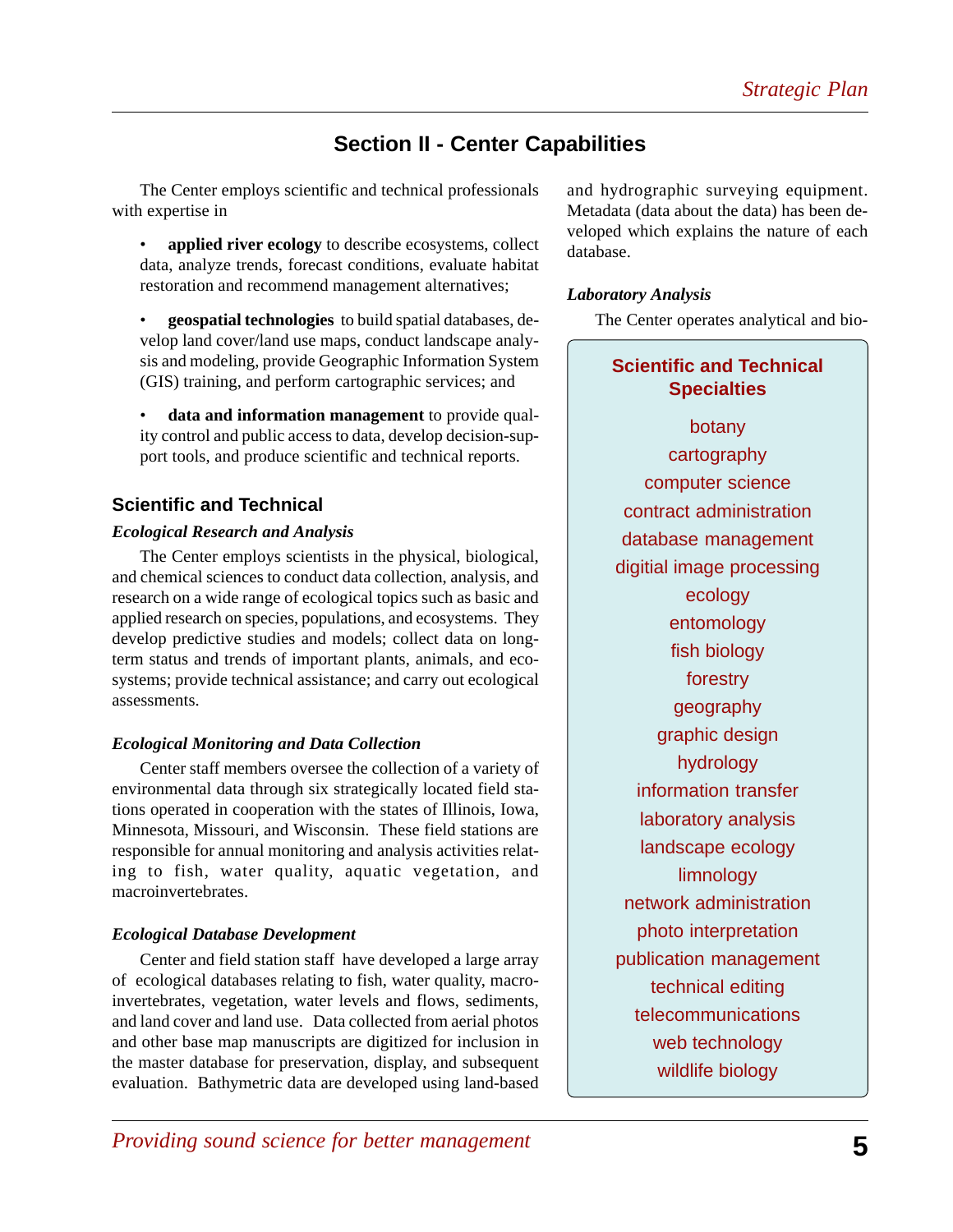## **Section II - Center Capabilities**

The Center employs scientific and technical professionals with expertise in

• **applied river ecology** to describe ecosystems, collect data, analyze trends, forecast conditions, evaluate habitat restoration and recommend management alternatives;

• **geospatial technologies** to build spatial databases, develop land cover/land use maps, conduct landscape analysis and modeling, provide Geographic Information System (GIS) training, and perform cartographic services; and

data and information management to provide quality control and public access to data, develop decision-support tools, and produce scientific and technical reports.

## **Scientific and Technical**

#### *Ecological Research and Analysis*

The Center employs scientists in the physical, biological, and chemical sciences to conduct data collection, analysis, and research on a wide range of ecological topics such as basic and applied research on species, populations, and ecosystems. They develop predictive studies and models; collect data on longterm status and trends of important plants, animals, and ecosystems; provide technical assistance; and carry out ecological assessments.

#### *Ecological Monitoring and Data Collection*

Center staff members oversee the collection of a variety of environmental data through six strategically located field stations operated in cooperation with the states of Illinois, Iowa, Minnesota, Missouri, and Wisconsin. These field stations are responsible for annual monitoring and analysis activities relating to fish, water quality, aquatic vegetation, and macroinvertebrates.

#### *Ecological Database Development*

Center and field station staff have developed a large array of ecological databases relating to fish, water quality, macroinvertebrates, vegetation, water levels and flows, sediments, and land cover and land use. Data collected from aerial photos and other base map manuscripts are digitized for inclusion in the master database for preservation, display, and subsequent evaluation. Bathymetric data are developed using land-based and hydrographic surveying equipment. Metadata (data about the data) has been developed which explains the nature of each database.

#### *Laboratory Analysis*

The Center operates analytical and bio-

## **Scientific and Technical Specialties**

botany cartography computer science contract administration database management digitial image processing ecology entomology fish biology forestry geography graphic design hydrology information transfer laboratory analysis landscape ecology limnology network administration photo interpretation publication management technical editing telecommunications web technology wildlife biology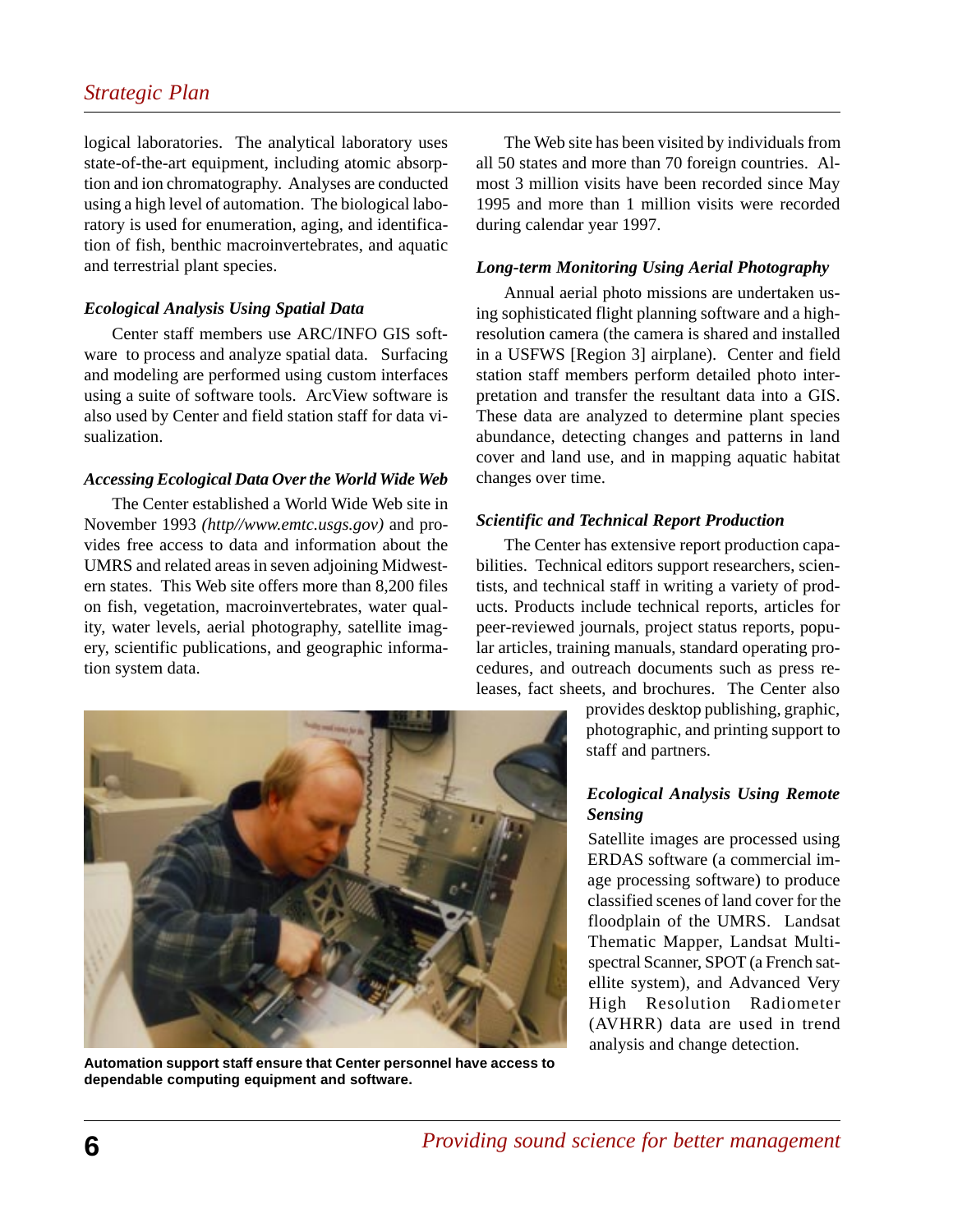## *Strategic Plan*

logical laboratories. The analytical laboratory uses state-of-the-art equipment, including atomic absorption and ion chromatography. Analyses are conducted using a high level of automation. The biological laboratory is used for enumeration, aging, and identification of fish, benthic macroinvertebrates, and aquatic and terrestrial plant species.

#### *Ecological Analysis Using Spatial Data*

Center staff members use ARC/INFO GIS software to process and analyze spatial data. Surfacing and modeling are performed using custom interfaces using a suite of software tools. ArcView software is also used by Center and field station staff for data visualization.

#### *Accessing Ecological Data Over the World Wide Web*

The Center established a World Wide Web site in November 1993 *(http//www.emtc.usgs.gov)* and provides free access to data and information about the UMRS and related areas in seven adjoining Midwestern states. This Web site offers more than 8,200 files on fish, vegetation, macroinvertebrates, water quality, water levels, aerial photography, satellite imagery, scientific publications, and geographic information system data.

The Web site has been visited by individuals from all 50 states and more than 70 foreign countries. Almost 3 million visits have been recorded since May 1995 and more than 1 million visits were recorded during calendar year 1997.

#### *Long-term Monitoring Using Aerial Photography*

Annual aerial photo missions are undertaken using sophisticated flight planning software and a highresolution camera (the camera is shared and installed in a USFWS [Region 3] airplane). Center and field station staff members perform detailed photo interpretation and transfer the resultant data into a GIS. These data are analyzed to determine plant species abundance, detecting changes and patterns in land cover and land use, and in mapping aquatic habitat changes over time.

#### *Scientific and Technical Report Production*

The Center has extensive report production capabilities. Technical editors support researchers, scientists, and technical staff in writing a variety of products. Products include technical reports, articles for peer-reviewed journals, project status reports, popular articles, training manuals, standard operating procedures, and outreach documents such as press releases, fact sheets, and brochures. The Center also

> provides desktop publishing, graphic, photographic, and printing support to staff and partners.

#### *Ecological Analysis Using Remote Sensing*

Satellite images are processed using ERDAS software (a commercial image processing software) to produce classified scenes of land cover for the floodplain of the UMRS. Landsat Thematic Mapper, Landsat Multispectral Scanner, SPOT (a French satellite system), and Advanced Very High Resolution Radiometer (AVHRR) data are used in trend analysis and change detection.



**Automation support staff ensure that Center personnel have access to dependable computing equipment and software.**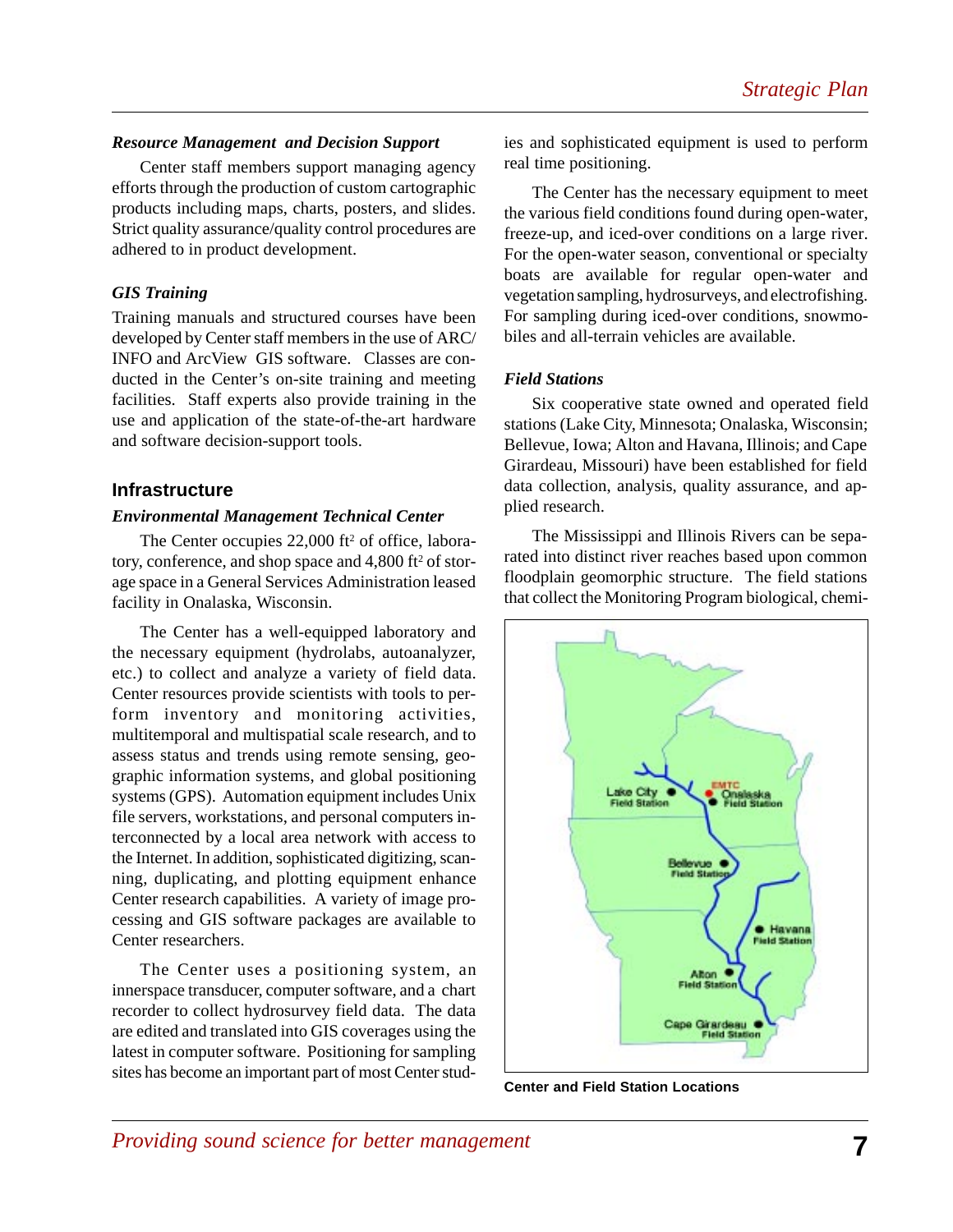#### *Resource Management and Decision Support*

Center staff members support managing agency efforts through the production of custom cartographic products including maps, charts, posters, and slides. Strict quality assurance/quality control procedures are adhered to in product development.

#### *GIS Training*

Training manuals and structured courses have been developed by Center staff members in the use of ARC/ INFO and ArcView GIS software. Classes are conducted in the Center's on-site training and meeting facilities. Staff experts also provide training in the use and application of the state-of-the-art hardware and software decision-support tools.

#### **Infrastructure**

#### *Environmental Management Technical Center*

The Center occupies  $22,000$  ft<sup>2</sup> of office, laboratory, conference, and shop space and 4,800 ft<sup>2</sup> of storage space in a General Services Administration leased facility in Onalaska, Wisconsin.

The Center has a well-equipped laboratory and the necessary equipment (hydrolabs, autoanalyzer, etc.) to collect and analyze a variety of field data. Center resources provide scientists with tools to perform inventory and monitoring activities, multitemporal and multispatial scale research, and to assess status and trends using remote sensing, geographic information systems, and global positioning systems (GPS). Automation equipment includes Unix file servers, workstations, and personal computers interconnected by a local area network with access to the Internet. In addition, sophisticated digitizing, scanning, duplicating, and plotting equipment enhance Center research capabilities. A variety of image processing and GIS software packages are available to Center researchers.

The Center uses a positioning system, an innerspace transducer, computer software, and a chart recorder to collect hydrosurvey field data. The data are edited and translated into GIS coverages using the latest in computer software. Positioning for sampling sites has become an important part of most Center stud-

ies and sophisticated equipment is used to perform real time positioning.

The Center has the necessary equipment to meet the various field conditions found during open-water, freeze-up, and iced-over conditions on a large river. For the open-water season, conventional or specialty boats are available for regular open-water and vegetation sampling, hydrosurveys, and electrofishing. For sampling during iced-over conditions, snowmobiles and all-terrain vehicles are available.

#### *Field Stations*

Six cooperative state owned and operated field stations (Lake City, Minnesota; Onalaska, Wisconsin; Bellevue, Iowa; Alton and Havana, Illinois; and Cape Girardeau, Missouri) have been established for field data collection, analysis, quality assurance, and applied research.

The Mississippi and Illinois Rivers can be separated into distinct river reaches based upon common floodplain geomorphic structure. The field stations that collect the Monitoring Program biological, chemi-



**Center and Field Station Locations**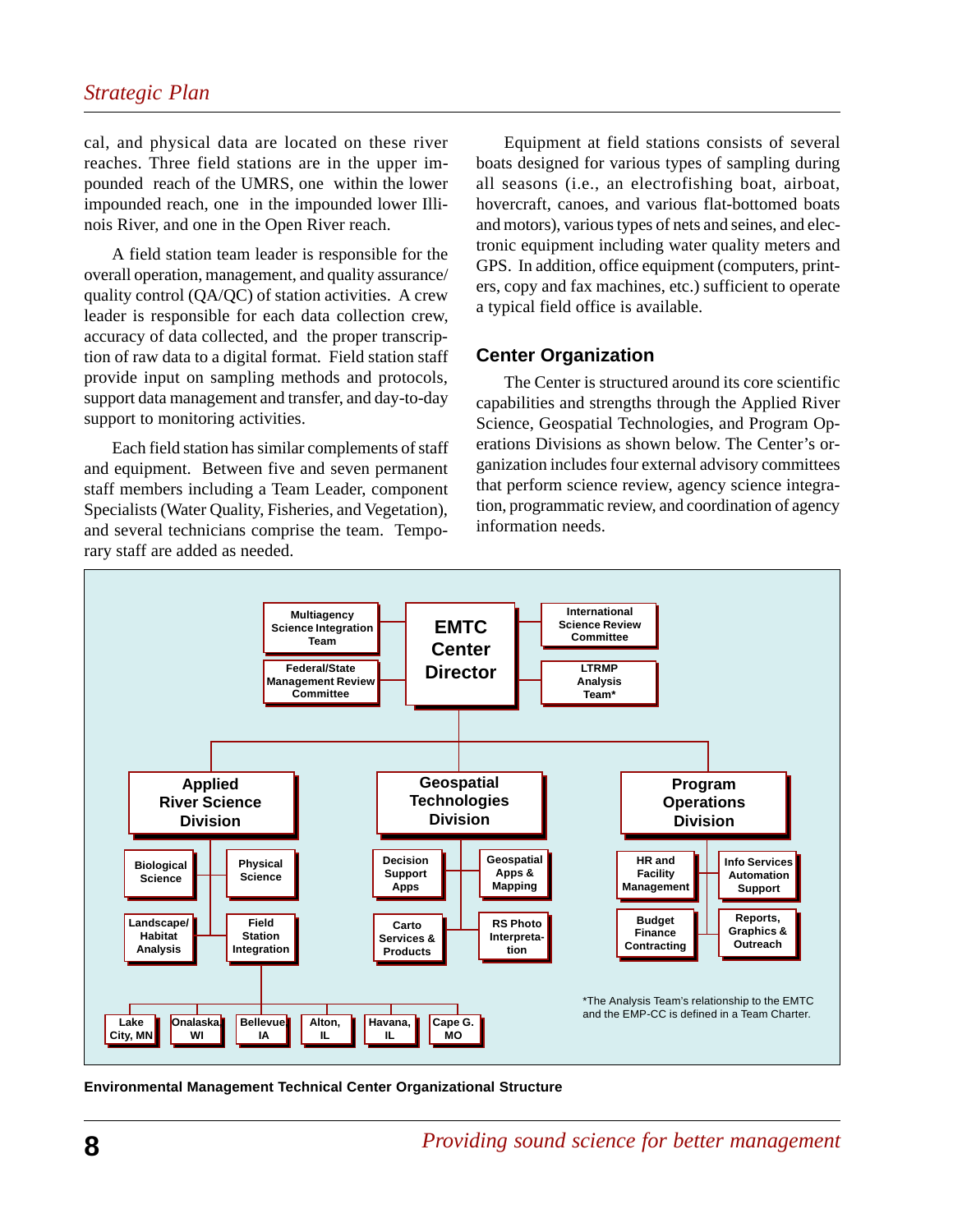cal, and physical data are located on these river reaches. Three field stations are in the upper impounded reach of the UMRS, one within the lower impounded reach, one in the impounded lower Illinois River, and one in the Open River reach.

A field station team leader is responsible for the overall operation, management, and quality assurance/ quality control (QA/QC) of station activities. A crew leader is responsible for each data collection crew, accuracy of data collected, and the proper transcription of raw data to a digital format. Field station staff provide input on sampling methods and protocols, support data management and transfer, and day-to-day support to monitoring activities.

Each field station has similar complements of staff and equipment. Between five and seven permanent staff members including a Team Leader, component Specialists (Water Quality, Fisheries, and Vegetation), and several technicians comprise the team. Temporary staff are added as needed.

Equipment at field stations consists of several boats designed for various types of sampling during all seasons (i.e., an electrofishing boat, airboat, hovercraft, canoes, and various flat-bottomed boats and motors), various types of nets and seines, and electronic equipment including water quality meters and GPS. In addition, office equipment (computers, printers, copy and fax machines, etc.) sufficient to operate a typical field office is available.

#### **Center Organization**

The Center is structured around its core scientific capabilities and strengths through the Applied River Science, Geospatial Technologies, and Program Operations Divisions as shown below. The Center's organization includes four external advisory committees that perform science review, agency science integration, programmatic review, and coordination of agency information needs.



**Environmental Management Technical Center Organizational Structure**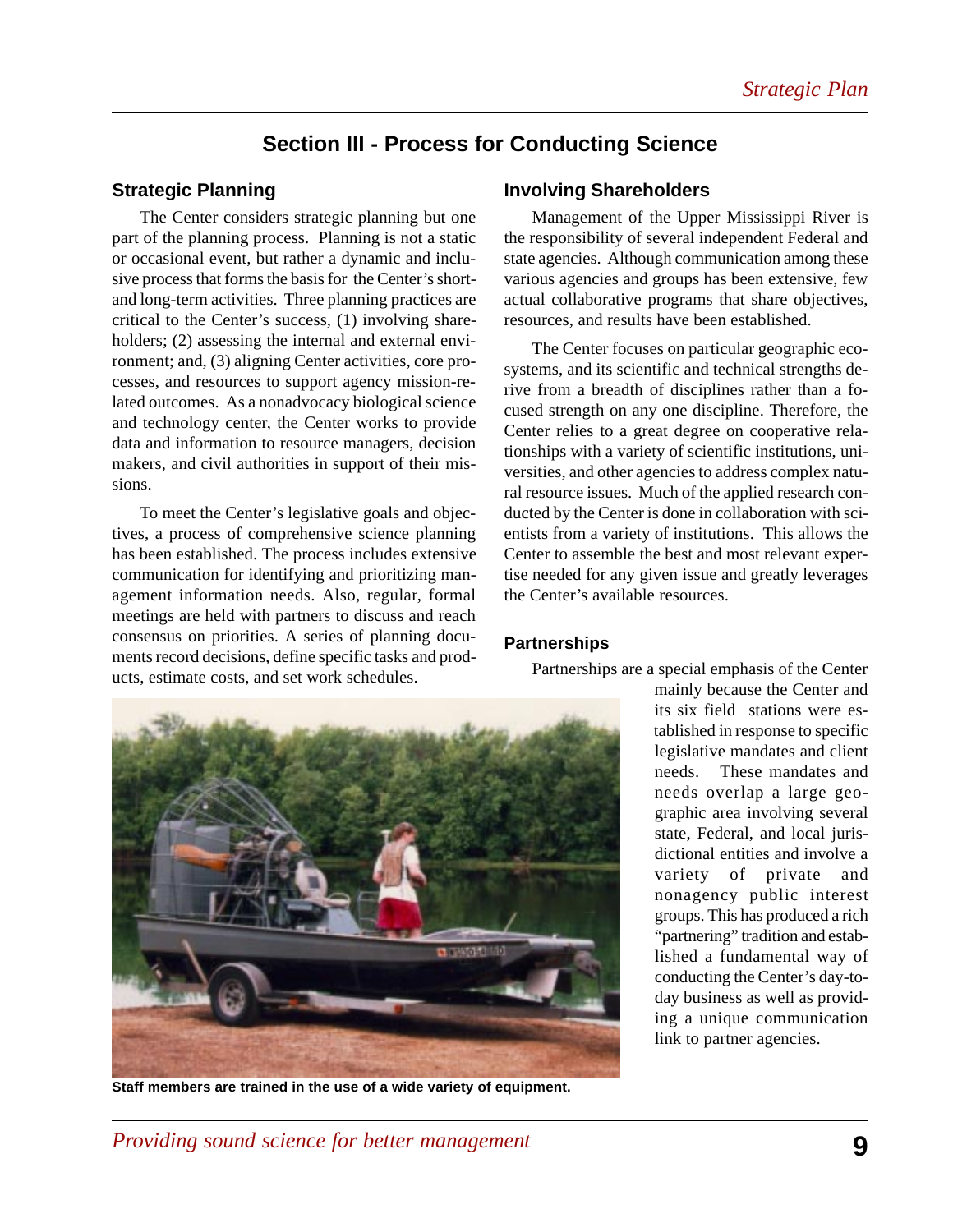## **Section III - Process for Conducting Science**

## **Strategic Planning**

The Center considers strategic planning but one part of the planning process. Planning is not a static or occasional event, but rather a dynamic and inclusive process that forms the basis for the Center's shortand long-term activities. Three planning practices are critical to the Center's success, (1) involving shareholders; (2) assessing the internal and external environment; and, (3) aligning Center activities, core processes, and resources to support agency mission-related outcomes.As a nonadvocacy biological science and technology center, the Center works to provide data and information to resource managers, decision makers, and civil authorities in support of their missions.

To meet the Center's legislative goals and objectives, a process of comprehensive science planning has been established. The process includes extensive communication for identifying and prioritizing management information needs. Also, regular, formal meetings are held with partners to discuss and reach consensus on priorities. A series of planning documents record decisions, define specific tasks and products, estimate costs, and set work schedules.

#### **Involving Shareholders**

Management of the Upper Mississippi River is the responsibility of several independent Federal and state agencies. Although communication among these various agencies and groups has been extensive, few actual collaborative programs that share objectives, resources, and results have been established.

The Center focuses on particular geographic ecosystems, and its scientific and technical strengths derive from a breadth of disciplines rather than a focused strength on any one discipline. Therefore, the Center relies to a great degree on cooperative relationships with a variety of scientific institutions, universities, and other agencies to address complex natural resource issues. Much of the applied research conducted by the Center is done in collaboration with scientists from a variety of institutions. This allows the Center to assemble the best and most relevant expertise needed for any given issue and greatly leverages the Center's available resources.

#### **Partnerships**

Partnerships are a special emphasis of the Center



**Staff members are trained in the use of a wide variety of equipment.**

mainly because the Center and its six field stations were established in response to specific legislative mandates and client needs. These mandates and needs overlap a large geographic area involving several state, Federal, and local jurisdictional entities and involve a variety of private and nonagency public interest groups. This has produced a rich "partnering" tradition and established a fundamental way of conducting the Center's day-today business as well as providing a unique communication link to partner agencies.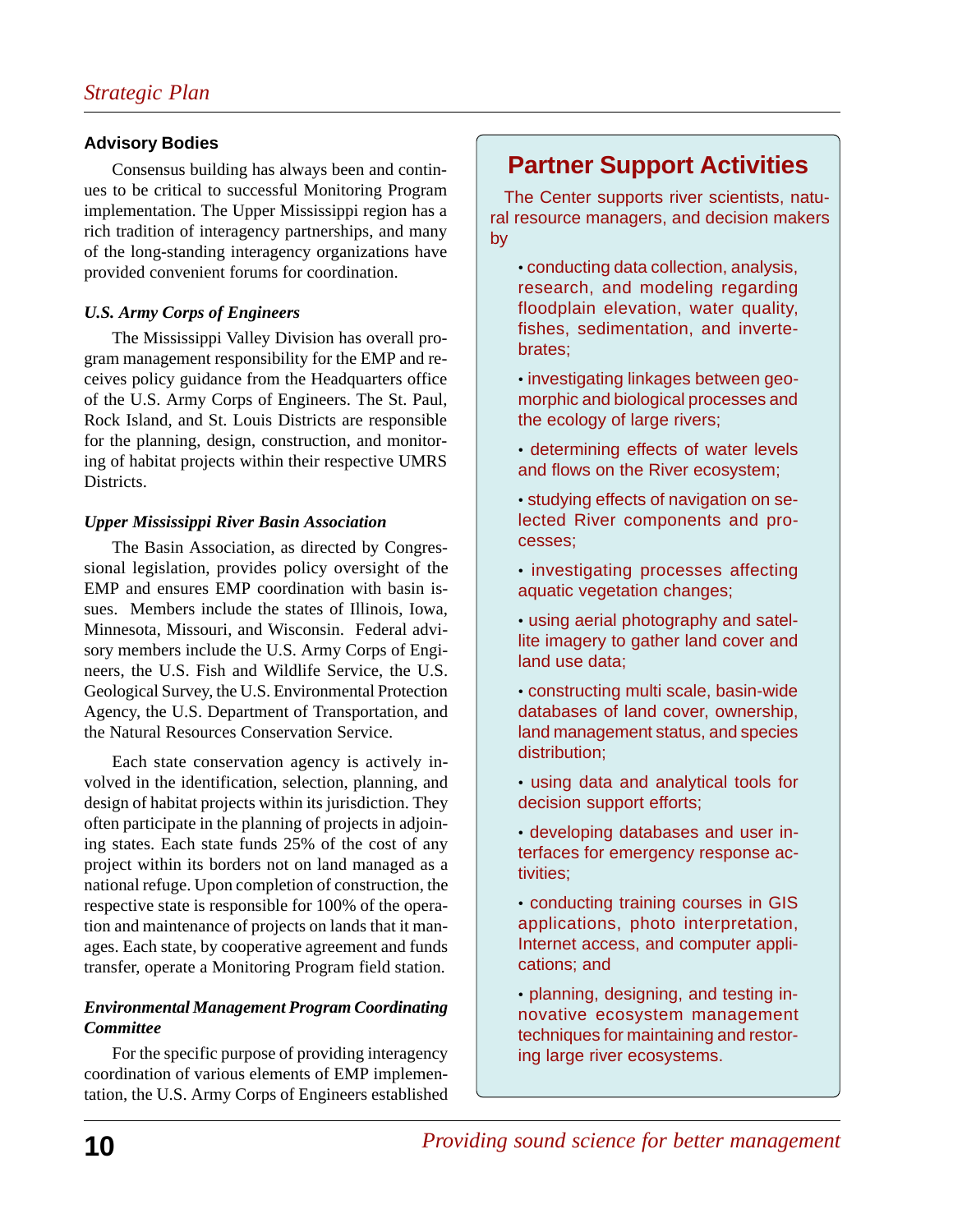## **Advisory Bodies**

Consensus building has always been and continues to be critical to successful Monitoring Program implementation. The Upper Mississippi region has a rich tradition of interagency partnerships, and many of the long-standing interagency organizations have provided convenient forums for coordination.

## *U.S. Army Corps of Engineers*

The Mississippi Valley Division has overall program management responsibility for the EMP and receives policy guidance from the Headquarters office of the U.S. Army Corps of Engineers. The St. Paul, Rock Island, and St. Louis Districts are responsible for the planning, design, construction, and monitoring of habitat projects within their respective UMRS Districts.

## *Upper Mississippi River Basin Association*

The Basin Association, as directed by Congressional legislation, provides policy oversight of the EMP and ensures EMP coordination with basin issues. Members include the states of Illinois, Iowa, Minnesota, Missouri, and Wisconsin. Federal advisory members include the U.S. Army Corps of Engineers, the U.S. Fish and Wildlife Service, the U.S. Geological Survey, the U.S. Environmental Protection Agency, the U.S. Department of Transportation, and the Natural Resources Conservation Service.

Each state conservation agency is actively involved in the identification, selection, planning, and design of habitat projects within its jurisdiction. They often participate in the planning of projects in adjoining states. Each state funds 25% of the cost of any project within its borders not on land managed as a national refuge. Upon completion of construction, the respective state is responsible for 100% of the operation and maintenance of projects on lands that it manages. Each state, by cooperative agreement and funds transfer, operate a Monitoring Program field station.

## *Environmental Management Program Coordinating Committee*

For the specific purpose of providing interagency coordination of various elements of EMP implementation, the U.S. Army Corps of Engineers established

## **Partner Support Activities**

The Center supports river scientists, natural resource managers, and decision makers by

- conducting data collection, analysis, research, and modeling regarding floodplain elevation, water quality, fishes, sedimentation, and invertebrates;
- investigating linkages between geomorphic and biological processes and the ecology of large rivers;
- determining effects of water levels and flows on the River ecosystem;
- studying effects of navigation on selected River components and processes;
- investigating processes affecting aquatic vegetation changes;
- using aerial photography and satellite imagery to gather land cover and land use data;
- constructing multi scale, basin-wide databases of land cover, ownership, land management status, and species distribution;
- using data and analytical tools for decision support efforts;
- developing databases and user interfaces for emergency response activities;
- conducting training courses in GIS applications, photo interpretation, Internet access, and computer applications; and
- planning, designing, and testing innovative ecosystem management techniques for maintaining and restoring large river ecosystems.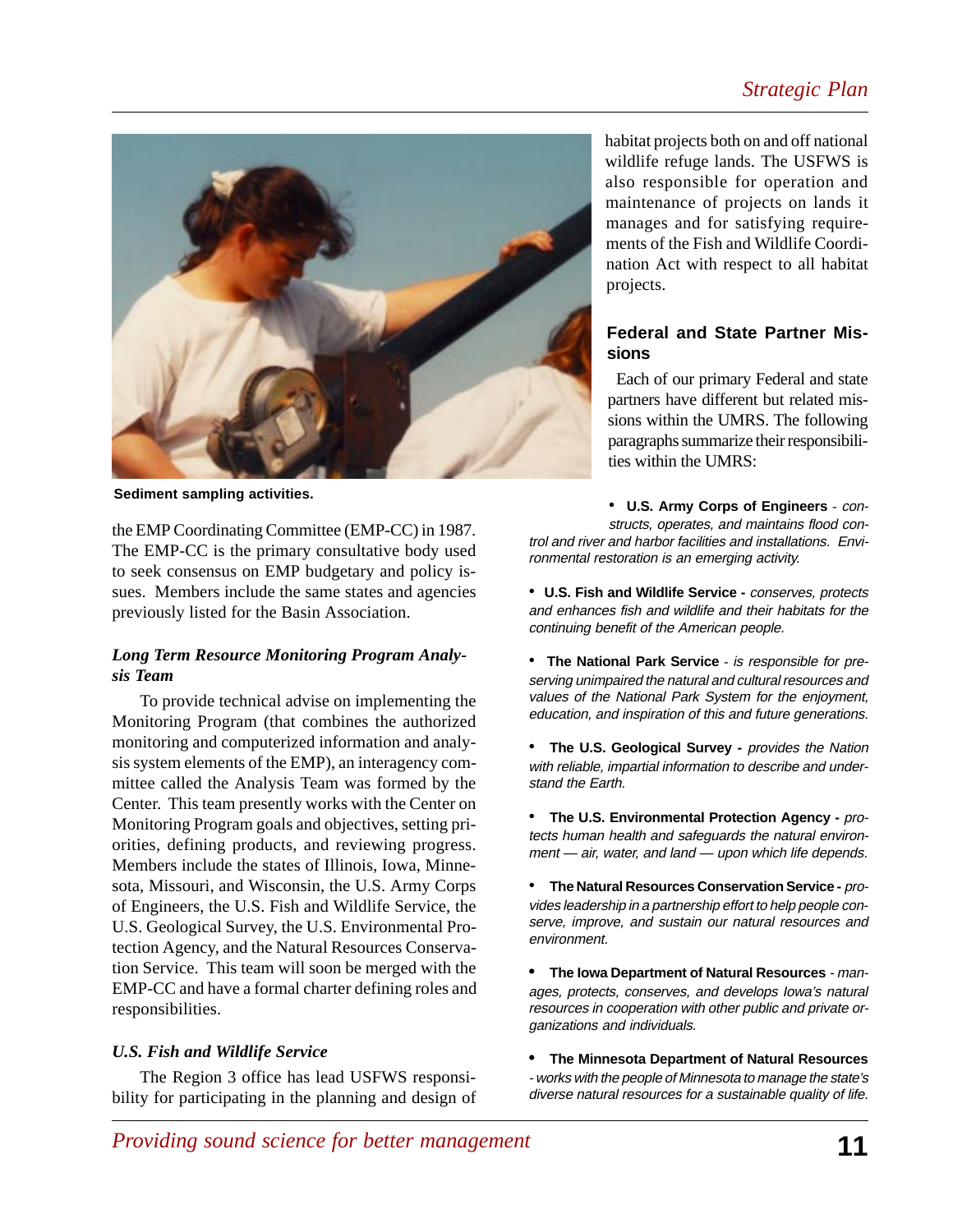## *Strategic Plan*



**Sediment sampling activities.**

the EMP Coordinating Committee (EMP-CC) in 1987. The EMP-CC is the primary consultative body used to seek consensus on EMP budgetary and policy issues. Members include the same states and agencies previously listed for the Basin Association.

#### *Long Term Resource Monitoring Program Analysis Team*

To provide technical advise on implementing the Monitoring Program (that combines the authorized monitoring and computerized information and analysis system elements of the EMP), an interagency committee called the Analysis Team was formed by the Center. This team presently works with the Center on Monitoring Program goals and objectives, setting priorities, defining products, and reviewing progress. Members include the states of Illinois, Iowa, Minnesota, Missouri, and Wisconsin, the U.S. Army Corps of Engineers, the U.S. Fish and Wildlife Service, the U.S. Geological Survey, the U.S. Environmental Protection Agency, and the Natural Resources Conservation Service. This team will soon be merged with the EMP-CC and have a formal charter defining roles and responsibilities.

#### *U.S. Fish and Wildlife Service*

The Region 3 office has lead USFWS responsibility for participating in the planning and design of habitat projects both on and off national wildlife refuge lands. The USFWS is also responsible for operation and maintenance of projects on lands it manages and for satisfying requirements of the Fish and Wildlife Coordination Act with respect to all habitat projects.

#### **Federal and State Partner Missions**

Each of our primary Federal and state partners have different but related missions within the UMRS. The following paragraphs summarize their responsibilities within the UMRS:

• **U.S. Army Corps of Engineers** - constructs, operates, and maintains flood control and river and harbor facilities and installations. Environmental restoration is an emerging activity.

- **U.S. Fish and Wildlife Service** conserves, protects and enhances fish and wildlife and their habitats for the continuing benefit of the American people.
- **The National Park Service** is responsible for preserving unimpaired the natural and cultural resources and values of the National Park System for the enjoyment, education, and inspiration of this and future generations.
- **The U.S. Geological Survey** provides the Nation with reliable, impartial information to describe and understand the Earth.
- **The U.S. Environmental Protection Agency -** protects human health and safeguards the natural environment — air, water, and land — upon which life depends.

• **The Natural Resources Conservation Service -** provides leadership in a partnership effort to help people conserve, improve, and sustain our natural resources and environment.

**• The Iowa Department of Natural Resources** - manages, protects, conserves, and develops Iowa's natural resources in cooperation with other public and private organizations and individuals.

**• The Minnesota Department of Natural Resources** - works with the people of Minnesota to manage the state's diverse natural resources for a sustainable quality of life.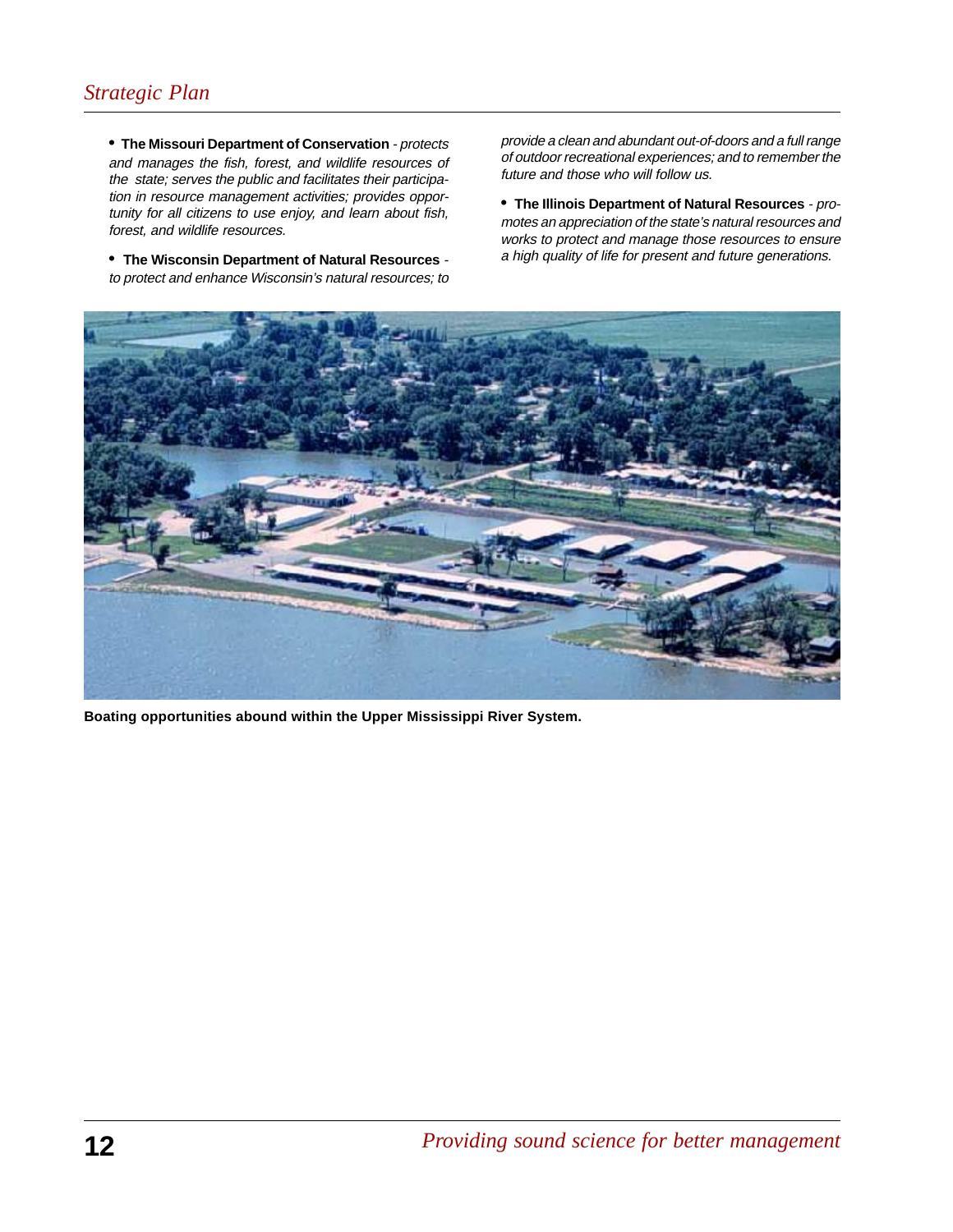## *Strategic Plan*

**• The Missouri Department of Conservation** - protects and manages the fish, forest, and wildlife resources of the state; serves the public and facilitates their participation in resource management activities; provides opportunity for all citizens to use enjoy, and learn about fish, forest, and wildlife resources.

**• The Wisconsin Department of Natural Resources** to protect and enhance Wisconsin's natural resources; to

provide a clean and abundant out-of-doors and a full range of outdoor recreational experiences; and to remember the future and those who will follow us.

**• The Illinois Department of Natural Resources** - promotes an appreciation of the state's natural resources and works to protect and manage those resources to ensure a high quality of life for present and future generations.



**Boating opportunities abound within the Upper Mississippi River System.**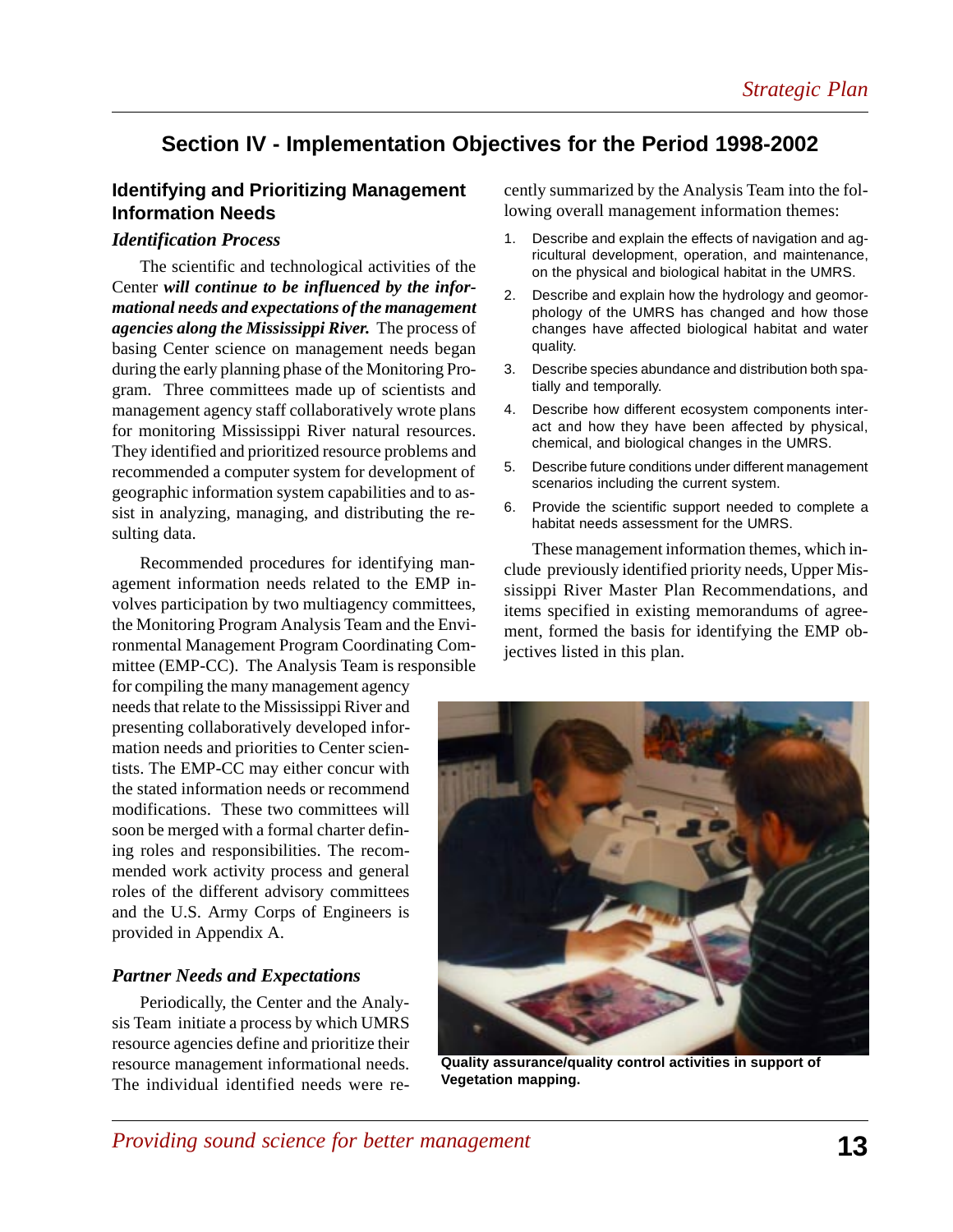## **Section IV - Implementation Objectives for the Period 1998-2002**

## **Identifying and Prioritizing Management Information Needs**

#### *Identification Process*

The scientific and technological activities of the Center *will continue to be influenced by the informational needs and expectations of the management agencies along the Mississippi River.* The process of basing Center science on management needs began during the early planning phase of the Monitoring Program. Three committees made up of scientists and management agency staff collaboratively wrote plans for monitoring Mississippi River natural resources. They identified and prioritized resource problems and recommended a computer system for development of geographic information system capabilities and to assist in analyzing, managing, and distributing the resulting data.

Recommended procedures for identifying management information needs related to the EMP involves participation by two multiagency committees, the Monitoring Program Analysis Team and the Environmental Management Program Coordinating Committee (EMP-CC). The Analysis Team is responsible

for compiling the many management agency needs that relate to the Mississippi River and presenting collaboratively developed information needs and priorities to Center scientists. The EMP-CC may either concur with the stated information needs or recommend modifications. These two committees will soon be merged with a formal charter defining roles and responsibilities. The recommended work activity process and general roles of the different advisory committees and the U.S. Army Corps of Engineers is provided in Appendix A.

#### *Partner Needs and Expectations*

Periodically, the Center and the Analysis Team initiate a process by which UMRS resource agencies define and prioritize their resource management informational needs. The individual identified needs were recently summarized by the Analysis Team into the following overall management information themes:

- 1. Describe and explain the effects of navigation and agricultural development, operation, and maintenance, on the physical and biological habitat in the UMRS.
- 2. Describe and explain how the hydrology and geomorphology of the UMRS has changed and how those changes have affected biological habitat and water quality.
- 3. Describe species abundance and distribution both spatially and temporally.
- 4. Describe how different ecosystem components interact and how they have been affected by physical, chemical, and biological changes in the UMRS.
- 5. Describe future conditions under different management scenarios including the current system.
- 6. Provide the scientific support needed to complete a habitat needs assessment for the UMRS.

These management information themes, which include previously identified priority needs, Upper Mississippi River Master Plan Recommendations, and items specified in existing memorandums of agreement, formed the basis for identifying the EMP objectives listed in this plan.



**Quality assurance/quality control activities in support of Vegetation mapping.**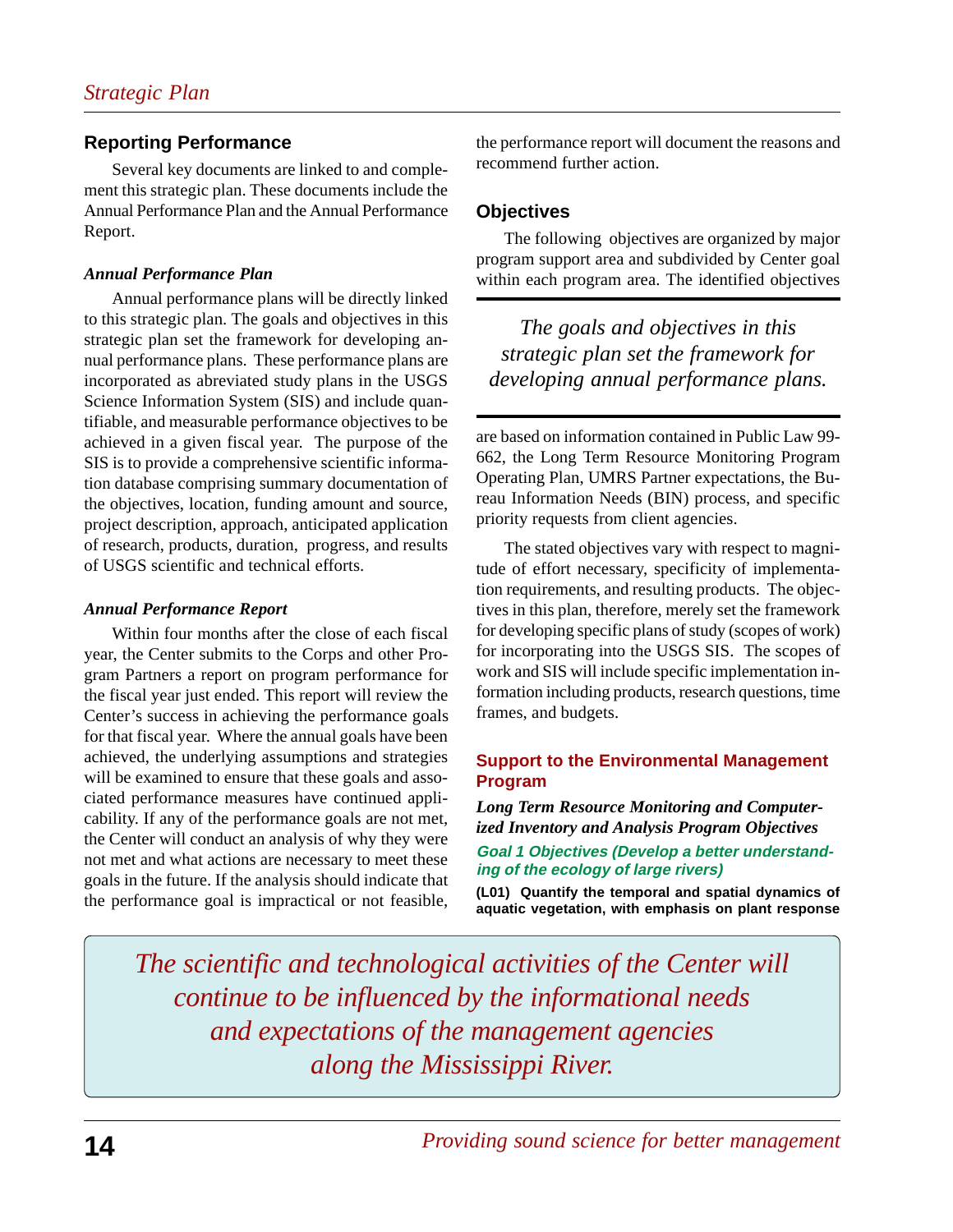## **Reporting Performance**

Several key documents are linked to and complement this strategic plan. These documents include the Annual Performance Plan and the Annual Performance Report.

## *Annual Performance Plan*

Annual performance plans will be directly linked to this strategic plan. The goals and objectives in this strategic plan set the framework for developing annual performance plans. These performance plans are incorporated as abreviated study plans in the USGS Science Information System (SIS) and include quantifiable, and measurable performance objectives to be achieved in a given fiscal year. The purpose of the SIS is to provide a comprehensive scientific information database comprising summary documentation of the objectives, location, funding amount and source, project description, approach, anticipated application of research, products, duration, progress, and results of USGS scientific and technical efforts.

#### *Annual Performance Report*

Within four months after the close of each fiscal year, the Center submits to the Corps and other Program Partners a report on program performance for the fiscal year just ended. This report will review the Center's success in achieving the performance goals for that fiscal year. Where the annual goals have been achieved, the underlying assumptions and strategies will be examined to ensure that these goals and associated performance measures have continued applicability. If any of the performance goals are not met, the Center will conduct an analysis of why they were not met and what actions are necessary to meet these goals in the future. If the analysis should indicate that the performance goal is impractical or not feasible,

the performance report will document the reasons and recommend further action.

## **Objectives**

The following objectives are organized by major program support area and subdivided by Center goal within each program area. The identified objectives

*The goals and objectives in this strategic plan set the framework for developing annual performance plans.*

are based on information contained in Public Law 99- 662, the Long Term Resource Monitoring Program Operating Plan, UMRS Partner expectations, the Bureau Information Needs (BIN) process, and specific priority requests from client agencies.

The stated objectives vary with respect to magnitude of effort necessary, specificity of implementation requirements, and resulting products. The objectives in this plan, therefore, merely set the framework for developing specific plans of study (scopes of work) for incorporating into the USGS SIS. The scopes of work and SIS will include specific implementation information including products, research questions, time frames, and budgets.

## **Support to the Environmental Management Program**

*Long Term Resource Monitoring and Computerized Inventory and Analysis Program Objectives* **Goal 1 Objectives (Develop a better understanding of the ecology of large rivers)**

**(L01) Quantify the temporal and spatial dynamics of aquatic vegetation, with emphasis on plant response**

*The scientific and technological activities of the Center will continue to be influenced by the informational needs and expectations of the management agencies along the Mississippi River.*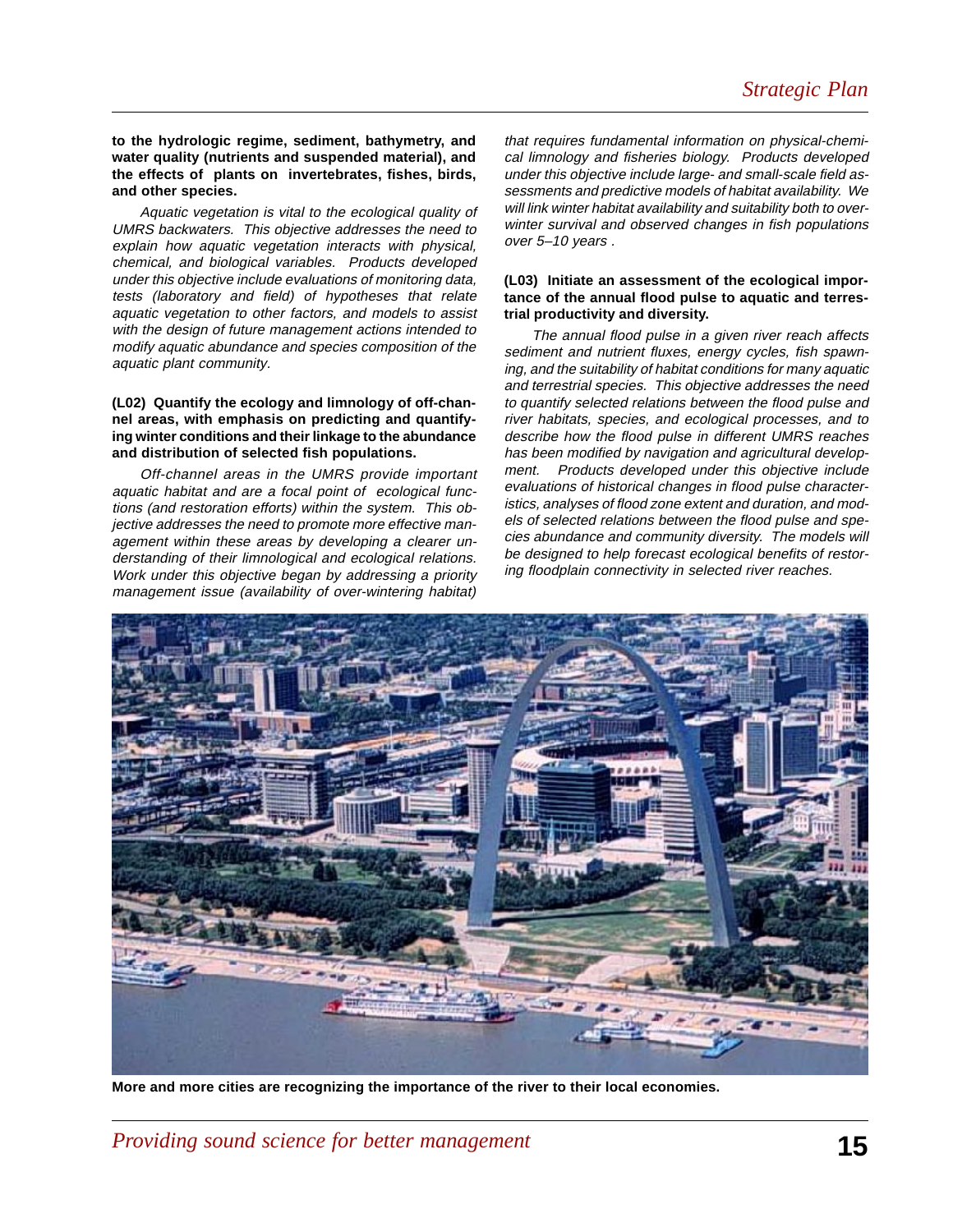**to the hydrologic regime, sediment, bathymetry, and water quality (nutrients and suspended material), and the effects of plants on invertebrates, fishes, birds, and other species.**

Aquatic vegetation is vital to the ecological quality of UMRS backwaters. This objective addresses the need to explain how aquatic vegetation interacts with physical, chemical, and biological variables. Products developed under this objective include evaluations of monitoring data, tests (laboratory and field) of hypotheses that relate aquatic vegetation to other factors, and models to assist with the design of future management actions intended to modify aquatic abundance and species composition of the aquatic plant community.

#### **(L02) Quantify the ecology and limnology of off-channel areas, with emphasis on predicting and quantifying winter conditions and their linkage to the abundance and distribution of selected fish populations.**

Off-channel areas in the UMRS provide important aquatic habitat and are a focal point of ecological functions (and restoration efforts) within the system. This objective addresses the need to promote more effective management within these areas by developing a clearer understanding of their limnological and ecological relations. Work under this objective began by addressing a priority management issue (availability of over-wintering habitat)

that requires fundamental information on physical-chemical limnology and fisheries biology. Products developed under this objective include large- and small-scale field assessments and predictive models of habitat availability. We will link winter habitat availability and suitability both to overwinter survival and observed changes in fish populations over 5–10 years .

#### **(L03) Initiate an assessment of the ecological importance of the annual flood pulse to aquatic and terrestrial productivity and diversity.**

The annual flood pulse in a given river reach affects sediment and nutrient fluxes, energy cycles, fish spawning, and the suitability of habitat conditions for many aquatic and terrestrial species. This objective addresses the need to quantify selected relations between the flood pulse and river habitats, species, and ecological processes, and to describe how the flood pulse in different UMRS reaches has been modified by navigation and agricultural develop-<br>ment. Products developed under this objective include Products developed under this objective include evaluations of historical changes in flood pulse characteristics, analyses of flood zone extent and duration, and models of selected relations between the flood pulse and species abundance and community diversity. The models will be designed to help forecast ecological benefits of restoring floodplain connectivity in selected river reaches.



**More and more cities are recognizing the importance of the river to their local economies.**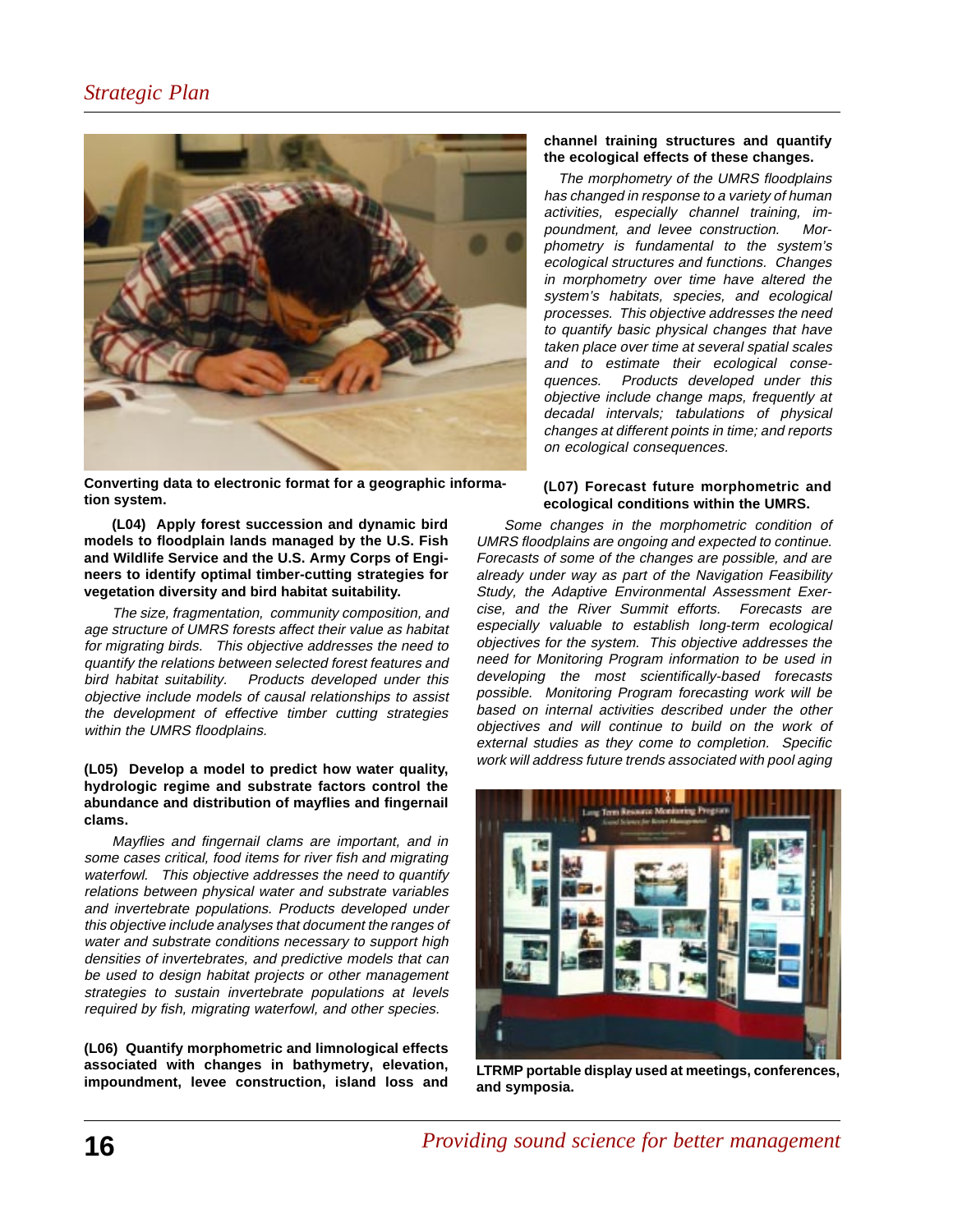

**Converting data to electronic format for a geographic information system.**

**(L04) Apply forest succession and dynamic bird models to floodplain lands managed by the U.S. Fish and Wildlife Service and the U.S. Army Corps of Engineers to identify optimal timber-cutting strategies for vegetation diversity and bird habitat suitability.**

The size, fragmentation, community composition, and age structure of UMRS forests affect their value as habitat for migrating birds. This objective addresses the need to quantify the relations between selected forest features and bird habitat suitability. Products developed under this objective include models of causal relationships to assist the development of effective timber cutting strategies within the UMRS floodplains.

#### **(L05) Develop a model to predict how water quality, hydrologic regime and substrate factors control the abundance and distribution of mayflies and fingernail clams.**

Mayflies and fingernail clams are important, and in some cases critical, food items for river fish and migrating waterfowl. This objective addresses the need to quantify relations between physical water and substrate variables and invertebrate populations. Products developed under this objective include analyses that document the ranges of water and substrate conditions necessary to support high densities of invertebrates, and predictive models that can be used to design habitat projects or other management strategies to sustain invertebrate populations at levels required by fish, migrating waterfowl, and other species.

**(L06) Quantify morphometric and limnological effects associated with changes in bathymetry, elevation, impoundment, levee construction, island loss and**

#### **channel training structures and quantify the ecological effects of these changes.**

 The morphometry of the UMRS floodplains has changed in response to a variety of human activities, especially channel training, impoundment, and levee construction. Morphometry is fundamental to the system's ecological structures and functions. Changes in morphometry over time have altered the system's habitats, species, and ecological processes. This objective addresses the need to quantify basic physical changes that have taken place over time at several spatial scales and to estimate their ecological consequences. Products developed under this objective include change maps, frequently at decadal intervals; tabulations of physical changes at different points in time; and reports on ecological consequences.

#### **(L07) Forecast future morphometric and ecological conditions within the UMRS.**

Some changes in the morphometric condition of UMRS floodplains are ongoing and expected to continue. Forecasts of some of the changes are possible, and are already under way as part of the Navigation Feasibility Study, the Adaptive Environmental Assessment Exercise, and the River Summit efforts. Forecasts are especially valuable to establish long-term ecological objectives for the system. This objective addresses the need for Monitoring Program information to be used in developing the most scientifically-based forecasts possible. Monitoring Program forecasting work will be based on internal activities described under the other objectives and will continue to build on the work of external studies as they come to completion. Specific work will address future trends associated with pool aging



**LTRMP portable display used at meetings, conferences, and symposia.**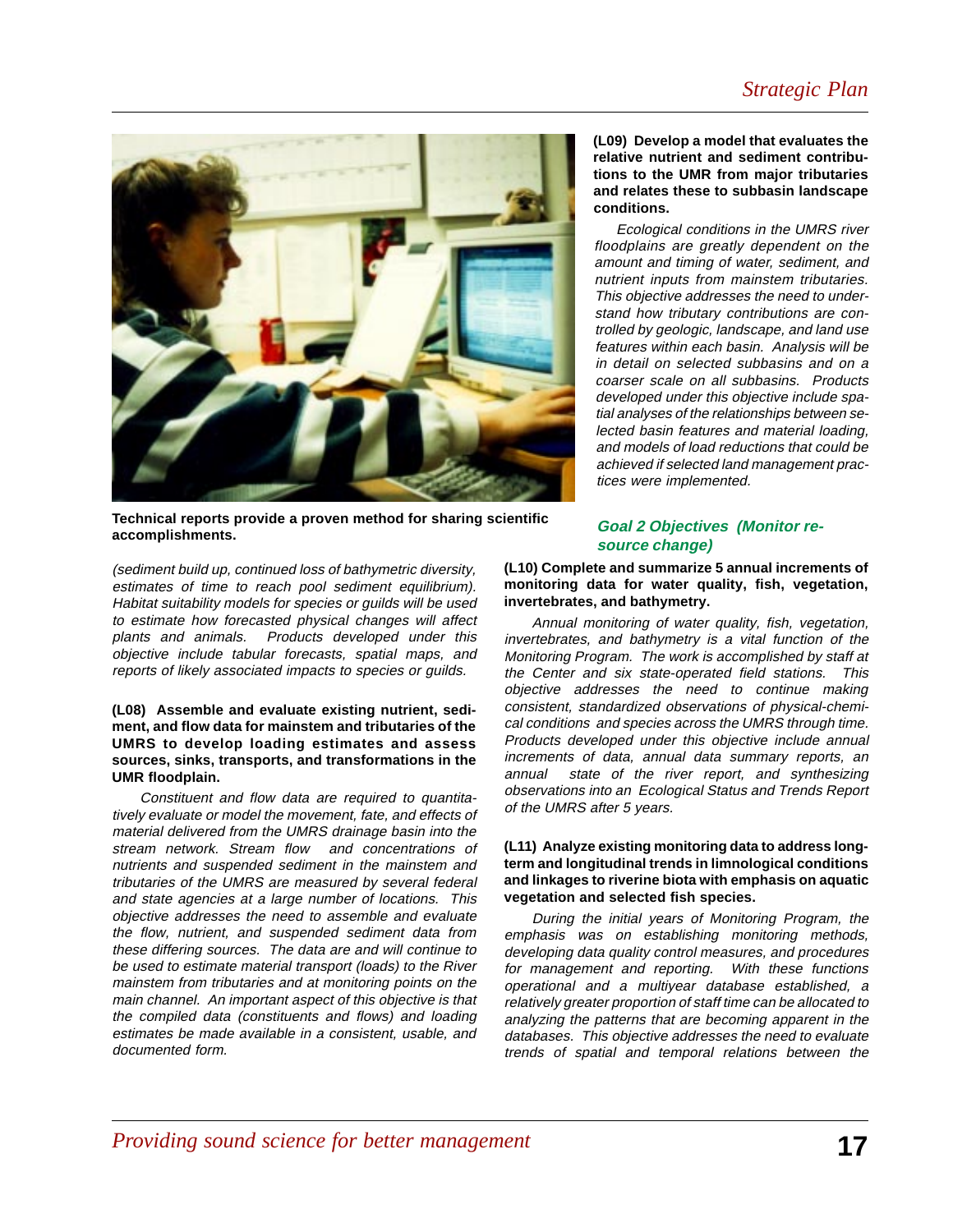

**Technical reports provide a proven method for sharing scientific accomplishments.**

(sediment build up, continued loss of bathymetric diversity, estimates of time to reach pool sediment equilibrium). Habitat suitability models for species or guilds will be used to estimate how forecasted physical changes will affect plants and animals. Products developed under this objective include tabular forecasts, spatial maps, and reports of likely associated impacts to species or guilds.

#### **(L08) Assemble and evaluate existing nutrient, sediment, and flow data for mainstem and tributaries of the UMRS to develop loading estimates and assess sources, sinks, transports, and transformations in the UMR floodplain.**

Constituent and flow data are required to quantitatively evaluate or model the movement, fate, and effects of material delivered from the UMRS drainage basin into the stream network. Stream flow and concentrations of nutrients and suspended sediment in the mainstem and tributaries of the UMRS are measured by several federal and state agencies at a large number of locations. This objective addresses the need to assemble and evaluate the flow, nutrient, and suspended sediment data from these differing sources. The data are and will continue to be used to estimate material transport (loads) to the River mainstem from tributaries and at monitoring points on the main channel. An important aspect of this objective is that the compiled data (constituents and flows) and loading estimates be made available in a consistent, usable, and documented form.

#### **(L09) Develop a model that evaluates the relative nutrient and sediment contributions to the UMR from major tributaries and relates these to subbasin landscape conditions.**

Ecological conditions in the UMRS river floodplains are greatly dependent on the amount and timing of water, sediment, and nutrient inputs from mainstem tributaries. This objective addresses the need to understand how tributary contributions are controlled by geologic, landscape, and land use features within each basin. Analysis will be in detail on selected subbasins and on a coarser scale on all subbasins. Products developed under this objective include spatial analyses of the relationships between selected basin features and material loading, and models of load reductions that could be achieved if selected land management practices were implemented.

#### **Goal 2 Objectives (Monitor resource change)**

**(L10) Complete and summarize 5 annual increments of monitoring data for water quality, fish, vegetation, invertebrates, and bathymetry.**

Annual monitoring of water quality, fish, vegetation, invertebrates, and bathymetry is a vital function of the Monitoring Program. The work is accomplished by staff at the Center and six state-operated field stations. This objective addresses the need to continue making consistent, standardized observations of physical-chemical conditions and species across the UMRS through time. Products developed under this objective include annual increments of data, annual data summary reports, an annual state of the river report, and synthesizing observations into an Ecological Status and Trends Report of the UMRS after 5 years.

#### **(L11) Analyze existing monitoring data to address longterm and longitudinal trends in limnological conditions and linkages to riverine biota with emphasis on aquatic vegetation and selected fish species.**

During the initial years of Monitoring Program, the emphasis was on establishing monitoring methods, developing data quality control measures, and procedures for management and reporting. With these functions operational and a multiyear database established, a relatively greater proportion of staff time can be allocated to analyzing the patterns that are becoming apparent in the databases. This objective addresses the need to evaluate trends of spatial and temporal relations between the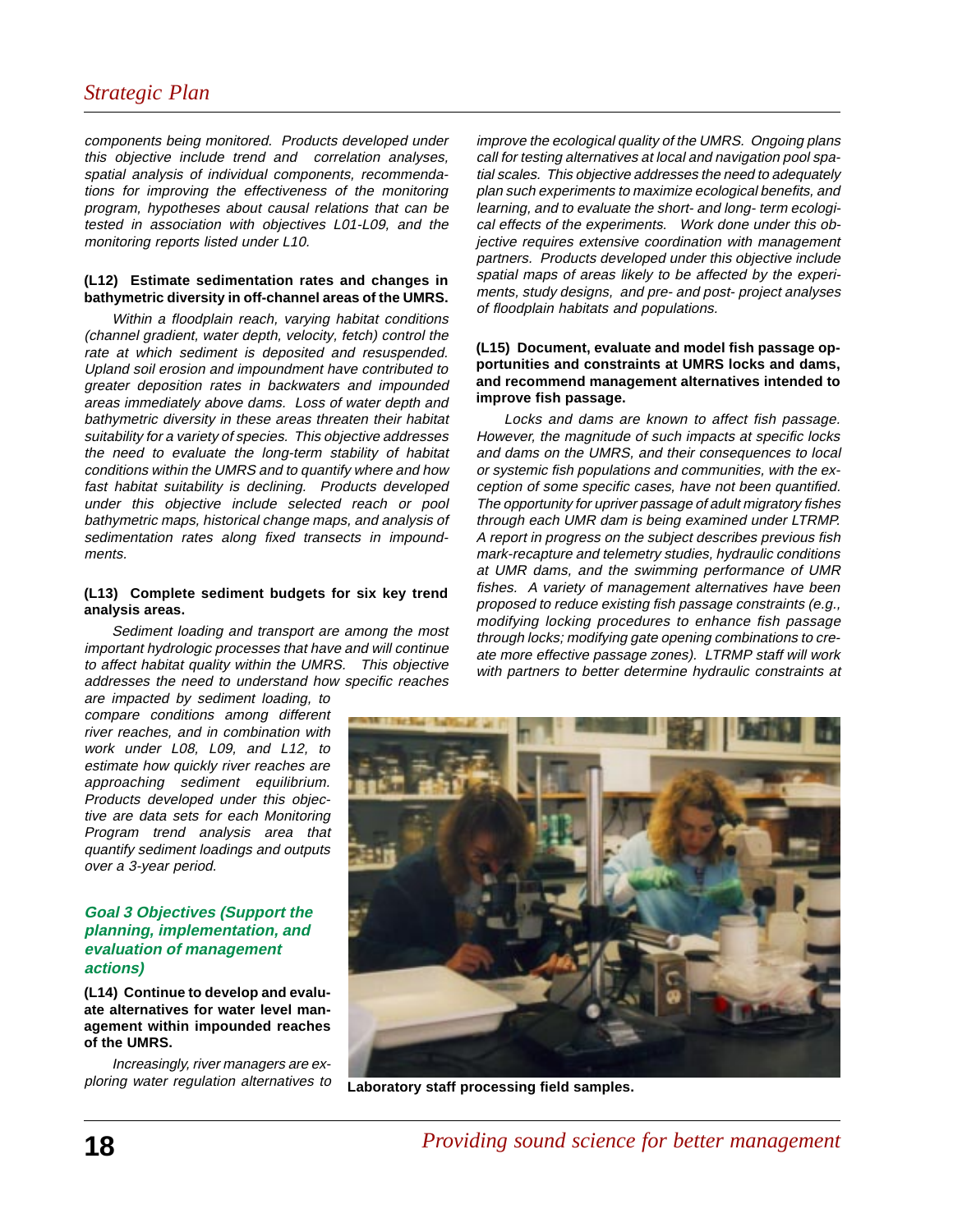components being monitored. Products developed under this objective include trend and correlation analyses, spatial analysis of individual components, recommendations for improving the effectiveness of the monitoring program, hypotheses about causal relations that can be tested in association with objectives L01-L09, and the monitoring reports listed under L10.

#### **(L12) Estimate sedimentation rates and changes in bathymetric diversity in off-channel areas of the UMRS.**

Within a floodplain reach, varying habitat conditions (channel gradient, water depth, velocity, fetch) control the rate at which sediment is deposited and resuspended. Upland soil erosion and impoundment have contributed to greater deposition rates in backwaters and impounded areas immediately above dams. Loss of water depth and bathymetric diversity in these areas threaten their habitat suitability for a variety of species. This objective addresses the need to evaluate the long-term stability of habitat conditions within the UMRS and to quantify where and how fast habitat suitability is declining. Products developed under this objective include selected reach or pool bathymetric maps, historical change maps, and analysis of sedimentation rates along fixed transects in impoundments.

#### **(L13) Complete sediment budgets for six key trend analysis areas.**

Sediment loading and transport are among the most important hydrologic processes that have and will continue to affect habitat quality within the UMRS. This objective addresses the need to understand how specific reaches

are impacted by sediment loading, to compare conditions among different river reaches, and in combination with work under L08, L09, and L12, to estimate how quickly river reaches are approaching sediment equilibrium. Products developed under this objective are data sets for each Monitoring Program trend analysis area that quantify sediment loadings and outputs over a 3-year period.

#### **Goal 3 Objectives (Support the planning, implementation, and evaluation of management actions)**

**(L14) Continue to develop and evaluate alternatives for water level management within impounded reaches of the UMRS.**

Increasingly, river managers are exploring water regulation alternatives to

improve the ecological quality of the UMRS. Ongoing plans call for testing alternatives at local and navigation pool spatial scales. This objective addresses the need to adequately plan such experiments to maximize ecological benefits, and learning, and to evaluate the short- and long- term ecological effects of the experiments. Work done under this objective requires extensive coordination with management partners. Products developed under this objective include spatial maps of areas likely to be affected by the experiments, study designs, and pre- and post- project analyses of floodplain habitats and populations.

#### **(L15) Document, evaluate and model fish passage opportunities and constraints at UMRS locks and dams, and recommend management alternatives intended to improve fish passage.**

Locks and dams are known to affect fish passage. However, the magnitude of such impacts at specific locks and dams on the UMRS, and their consequences to local or systemic fish populations and communities, with the exception of some specific cases, have not been quantified. The opportunity for upriver passage of adult migratory fishes through each UMR dam is being examined under LTRMP. A report in progress on the subject describes previous fish mark-recapture and telemetry studies, hydraulic conditions at UMR dams, and the swimming performance of UMR fishes. A variety of management alternatives have been proposed to reduce existing fish passage constraints (e.g., modifying locking procedures to enhance fish passage through locks; modifying gate opening combinations to create more effective passage zones). LTRMP staff will work with partners to better determine hydraulic constraints at



**Laboratory staff processing field samples.**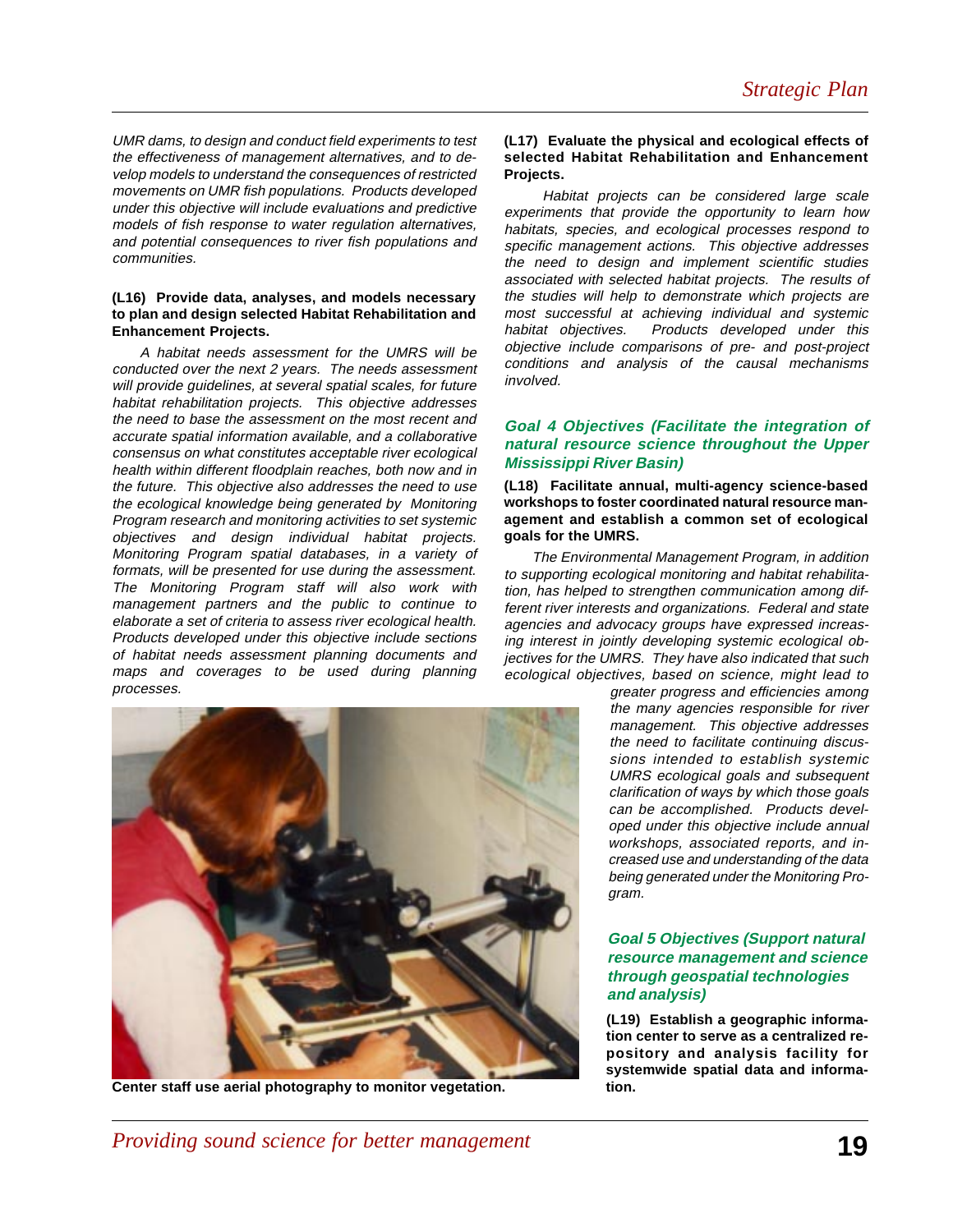UMR dams, to design and conduct field experiments to test the effectiveness of management alternatives, and to develop models to understand the consequences of restricted movements on UMR fish populations. Products developed under this objective will include evaluations and predictive models of fish response to water regulation alternatives, and potential consequences to river fish populations and communities.

#### **(L16) Provide data, analyses, and models necessary to plan and design selected Habitat Rehabilitation and Enhancement Projects.**

A habitat needs assessment for the UMRS will be conducted over the next 2 years. The needs assessment will provide guidelines, at several spatial scales, for future habitat rehabilitation projects. This objective addresses the need to base the assessment on the most recent and accurate spatial information available, and a collaborative consensus on what constitutes acceptable river ecological health within different floodplain reaches, both now and in the future. This objective also addresses the need to use the ecological knowledge being generated by Monitoring Program research and monitoring activities to set systemic objectives and design individual habitat projects. Monitoring Program spatial databases, in a variety of formats, will be presented for use during the assessment. The Monitoring Program staff will also work with management partners and the public to continue to elaborate a set of criteria to assess river ecological health. Products developed under this objective include sections of habitat needs assessment planning documents and maps and coverages to be used during planning processes.



**Center staff use aerial photography to monitor vegetation.**

#### **(L17) Evaluate the physical and ecological effects of selected Habitat Rehabilitation and Enhancement Projects.**

 Habitat projects can be considered large scale experiments that provide the opportunity to learn how habitats, species, and ecological processes respond to specific management actions. This objective addresses the need to design and implement scientific studies associated with selected habitat projects. The results of the studies will help to demonstrate which projects are most successful at achieving individual and systemic habitat objectives. Products developed under this objective include comparisons of pre- and post-project conditions and analysis of the causal mechanisms involved.

#### **Goal 4 Objectives (Facilitate the integration of natural resource science throughout the Upper Mississippi River Basin)**

**(L18) Facilitate annual, multi-agency science-based workshops to foster coordinated natural resource management and establish a common set of ecological goals for the UMRS.**

The Environmental Management Program, in addition to supporting ecological monitoring and habitat rehabilitation, has helped to strengthen communication among different river interests and organizations. Federal and state agencies and advocacy groups have expressed increasing interest in jointly developing systemic ecological objectives for the UMRS. They have also indicated that such ecological objectives, based on science, might lead to

greater progress and efficiencies among the many agencies responsible for river management. This objective addresses the need to facilitate continuing discussions intended to establish systemic UMRS ecological goals and subsequent clarification of ways by which those goals can be accomplished. Products developed under this objective include annual workshops, associated reports, and increased use and understanding of the data being generated under the Monitoring Program.

#### **Goal 5 Objectives (Support natural resource management and science through geospatial technologies and analysis)**

**(L19) Establish a geographic information center to serve as a centralized repository and analysis facility for systemwide spatial data and information.**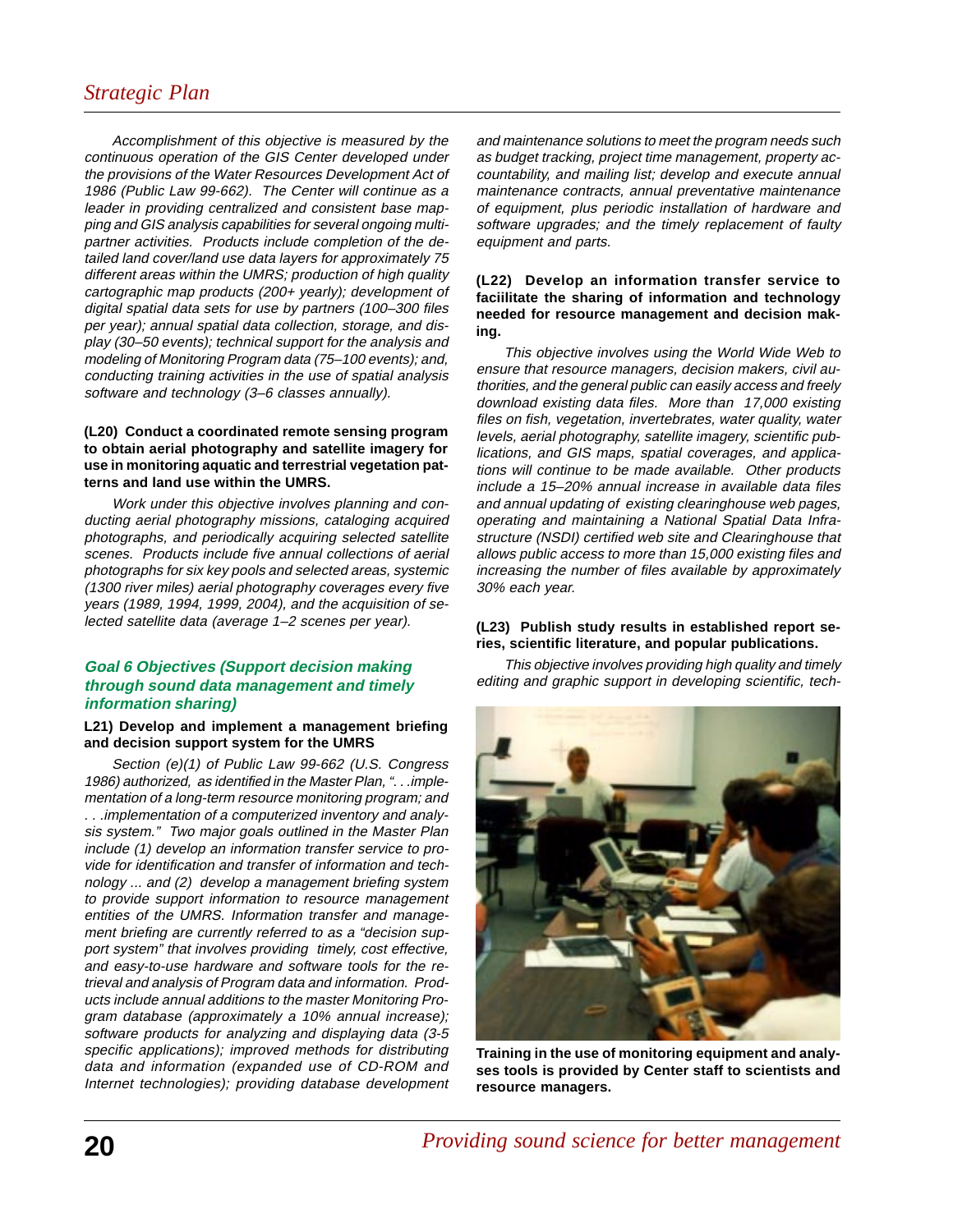## *Strategic Plan*

Accomplishment of this objective is measured by the continuous operation of the GIS Center developed under the provisions of the Water Resources Development Act of 1986 (Public Law 99-662). The Center will continue as a leader in providing centralized and consistent base mapping and GIS analysis capabilities for several ongoing multipartner activities. Products include completion of the detailed land cover/land use data layers for approximately 75 different areas within the UMRS; production of high quality cartographic map products (200+ yearly); development of digital spatial data sets for use by partners (100–300 files per year); annual spatial data collection, storage, and display (30–50 events); technical support for the analysis and modeling of Monitoring Program data (75–100 events); and, conducting training activities in the use of spatial analysis software and technology (3–6 classes annually).

#### **(L20) Conduct a coordinated remote sensing program to obtain aerial photography and satellite imagery for use in monitoring aquatic and terrestrial vegetation patterns and land use within the UMRS.**

Work under this objective involves planning and conducting aerial photography missions, cataloging acquired photographs, and periodically acquiring selected satellite scenes. Products include five annual collections of aerial photographs for six key pools and selected areas, systemic (1300 river miles) aerial photography coverages every five years (1989, 1994, 1999, 2004), and the acquisition of selected satellite data (average 1–2 scenes per year).

#### **Goal 6 Objectives (Support decision making through sound data management and timely information sharing)**

#### **L21) Develop and implement a management briefing and decision support system for the UMRS**

Section (e)(1) of Public Law 99-662 (U.S. Congress 1986) authorized, as identified in the Master Plan, ". . .implementation of a long-term resource monitoring program; and . . .implementation of a computerized inventory and analysis system." Two major goals outlined in the Master Plan include (1) develop an information transfer service to provide for identification and transfer of information and technology ... and (2) develop a management briefing system to provide support information to resource management entities of the UMRS. Information transfer and management briefing are currently referred to as a "decision support system" that involves providing timely, cost effective, and easy-to-use hardware and software tools for the retrieval and analysis of Program data and information. Products include annual additions to the master Monitoring Program database (approximately a 10% annual increase); software products for analyzing and displaying data (3-5 specific applications); improved methods for distributing data and information (expanded use of CD-ROM and Internet technologies); providing database development and maintenance solutions to meet the program needs such as budget tracking, project time management, property accountability, and mailing list; develop and execute annual maintenance contracts, annual preventative maintenance of equipment, plus periodic installation of hardware and software upgrades; and the timely replacement of faulty equipment and parts.

#### **(L22) Develop an information transfer service to faciilitate the sharing of information and technology needed for resource management and decision making.**

This objective involves using the World Wide Web to ensure that resource managers, decision makers, civil authorities, and the general public can easily access and freely download existing data files. More than 17,000 existing files on fish, vegetation, invertebrates, water quality, water levels, aerial photography, satellite imagery, scientific publications, and GIS maps, spatial coverages, and applications will continue to be made available. Other products include a 15–20% annual increase in available data files and annual updating of existing clearinghouse web pages, operating and maintaining a National Spatial Data Infrastructure (NSDI) certified web site and Clearinghouse that allows public access to more than 15,000 existing files and increasing the number of files available by approximately 30% each year.

#### **(L23) Publish study results in established report series, scientific literature, and popular publications.**

This objective involves providing high quality and timely editing and graphic support in developing scientific, tech-



**Training in the use of monitoring equipment and analyses tools is provided by Center staff to scientists and resource managers.**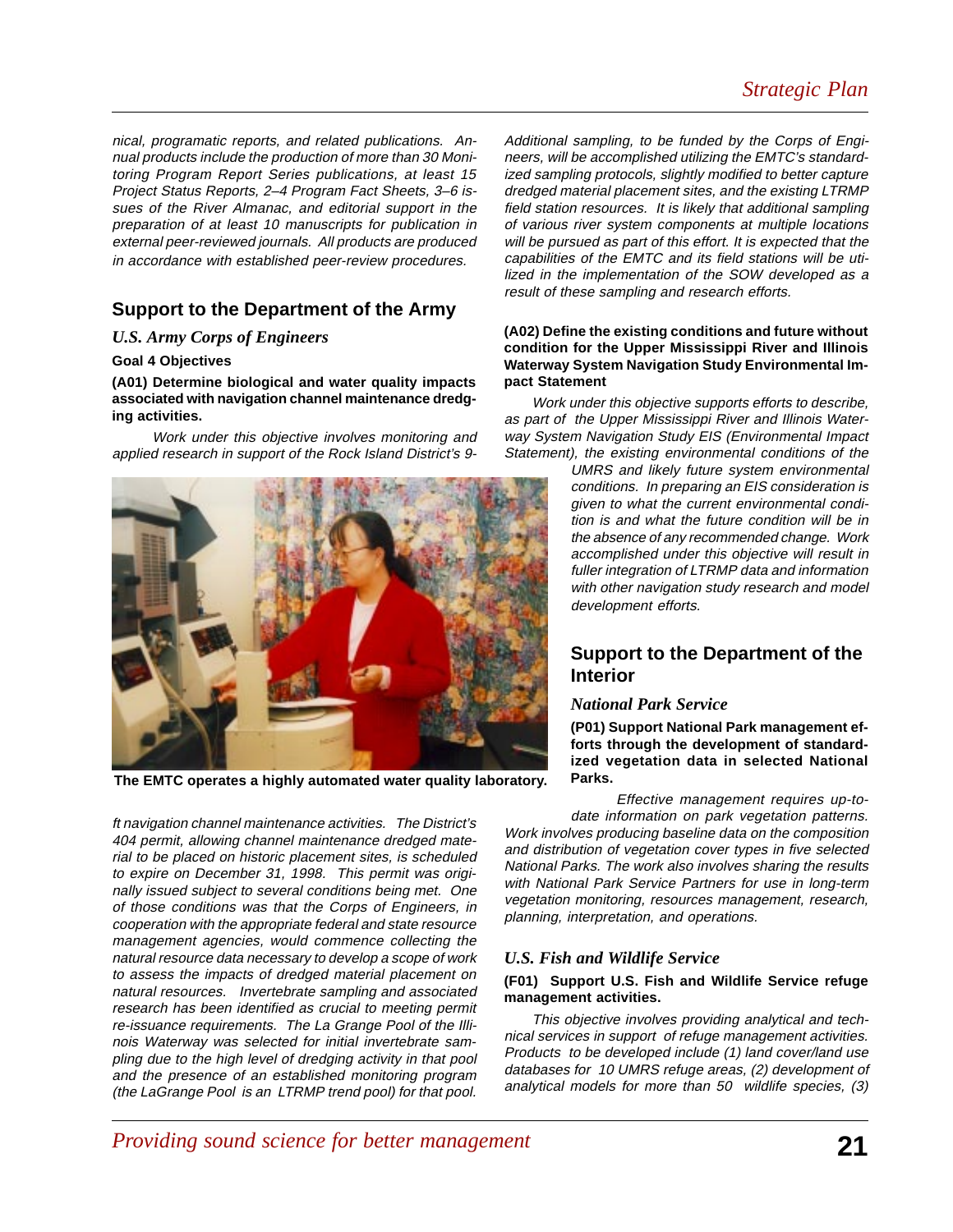nical, programatic reports, and related publications. Annual products include the production of more than 30 Monitoring Program Report Series publications, at least 15 Project Status Reports, 2–4 Program Fact Sheets, 3–6 issues of the River Almanac, and editorial support in the preparation of at least 10 manuscripts for publication in external peer-reviewed journals. All products are produced in accordance with established peer-review procedures.

## **Support to the Department of the Army**

#### *U.S. Army Corps of Engineers*

#### **Goal 4 Objectives**

**(A01) Determine biological and water quality impacts associated with navigation channel maintenance dredging activities.**

 Work under this objective involves monitoring and applied research in support of the Rock Island District's 9-



**The EMTC operates a highly automated water quality laboratory.**

ft navigation channel maintenance activities. The District's 404 permit, allowing channel maintenance dredged material to be placed on historic placement sites, is scheduled to expire on December 31, 1998. This permit was originally issued subject to several conditions being met. One of those conditions was that the Corps of Engineers, in cooperation with the appropriate federal and state resource management agencies, would commence collecting the natural resource data necessary to develop a scope of work to assess the impacts of dredged material placement on natural resources. Invertebrate sampling and associated research has been identified as crucial to meeting permit re-issuance requirements. The La Grange Pool of the Illinois Waterway was selected for initial invertebrate sampling due to the high level of dredging activity in that pool and the presence of an established monitoring program (the LaGrange Pool is an LTRMP trend pool) for that pool.

Additional sampling, to be funded by the Corps of Engineers, will be accomplished utilizing the EMTC's standardized sampling protocols, slightly modified to better capture dredged material placement sites, and the existing LTRMP field station resources. It is likely that additional sampling of various river system components at multiple locations will be pursued as part of this effort. It is expected that the capabilities of the EMTC and its field stations will be utilized in the implementation of the SOW developed as a result of these sampling and research efforts.

#### **(A02) Define the existing conditions and future without condition for the Upper Mississippi River and Illinois Waterway System Navigation Study Environmental Impact Statement**

Work under this objective supports efforts to describe, as part of the Upper Mississippi River and Illinois Waterway System Navigation Study EIS (Environmental Impact Statement), the existing environmental conditions of the

> UMRS and likely future system environmental conditions. In preparing an EIS consideration is given to what the current environmental condition is and what the future condition will be in the absence of any recommended change. Work accomplished under this objective will result in fuller integration of LTRMP data and information with other navigation study research and model development efforts.

## **Support to the Department of the Interior**

#### *National Park Service*

**(P01) Support National Park management efforts through the development of standardized vegetation data in selected National Parks.**

Effective management requires up-to-

date information on park vegetation patterns. Work involves producing baseline data on the composition and distribution of vegetation cover types in five selected National Parks. The work also involves sharing the results with National Park Service Partners for use in long-term vegetation monitoring, resources management, research, planning, interpretation, and operations.

#### *U.S. Fish and Wildlife Service*

#### **(F01) Support U.S. Fish and Wildlife Service refuge management activities.**

This objective involves providing analytical and technical services in support of refuge management activities. Products to be developed include (1) land cover/land use databases for 10 UMRS refuge areas, (2) development of analytical models for more than 50 wildlife species, (3)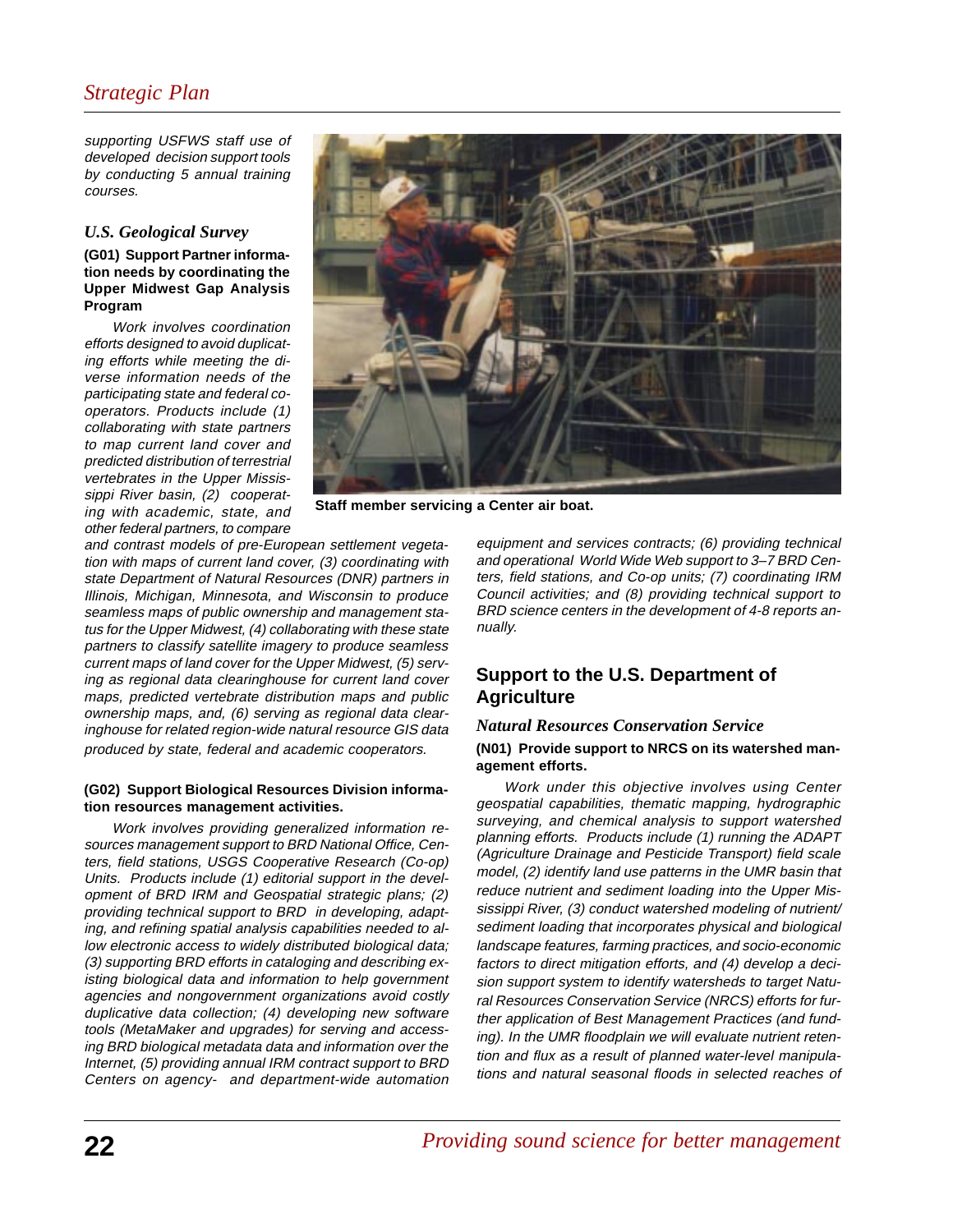## *Strategic Plan*

supporting USFWS staff use of developed decision support tools by conducting 5 annual training courses.

#### *U.S. Geological Survey*

#### **(G01) Support Partner information needs by coordinating the Upper Midwest Gap Analysis Program**

Work involves coordination efforts designed to avoid duplicating efforts while meeting the diverse information needs of the participating state and federal cooperators. Products include (1) collaborating with state partners to map current land cover and predicted distribution of terrestrial vertebrates in the Upper Mississippi River basin, (2) cooperating with academic, state, and other federal partners, to compare



**Staff member servicing a Center air boat.**

and contrast models of pre-European settlement vegetation with maps of current land cover, (3) coordinating with state Department of Natural Resources (DNR) partners in Illinois, Michigan, Minnesota, and Wisconsin to produce seamless maps of public ownership and management status for the Upper Midwest, (4) collaborating with these state partners to classify satellite imagery to produce seamless current maps of land cover for the Upper Midwest, (5) serving as regional data clearinghouse for current land cover maps, predicted vertebrate distribution maps and public ownership maps, and, (6) serving as regional data clearinghouse for related region-wide natural resource GIS data produced by state, federal and academic cooperators.

#### **(G02) Support Biological Resources Division information resources management activities.**

Work involves providing generalized information resources management support to BRD National Office, Centers, field stations, USGS Cooperative Research (Co-op) Units. Products include (1) editorial support in the development of BRD IRM and Geospatial strategic plans; (2) providing technical support to BRD in developing, adapting, and refining spatial analysis capabilities needed to allow electronic access to widely distributed biological data; (3) supporting BRD efforts in cataloging and describing existing biological data and information to help government agencies and nongovernment organizations avoid costly duplicative data collection; (4) developing new software tools (MetaMaker and upgrades) for serving and accessing BRD biological metadata data and information over the Internet, (5) providing annual IRM contract support to BRD Centers on agency- and department-wide automation equipment and services contracts; (6) providing technical and operational World Wide Web support to 3–7 BRD Centers, field stations, and Co-op units; (7) coordinating IRM Council activities; and (8) providing technical support to BRD science centers in the development of 4-8 reports annually.

## **Support to the U.S. Department of Agriculture**

## *Natural Resources Conservation Service*

#### **(N01) Provide support to NRCS on its watershed management efforts.**

Work under this objective involves using Center geospatial capabilities, thematic mapping, hydrographic surveying, and chemical analysis to support watershed planning efforts. Products include (1) running the ADAPT (Agriculture Drainage and Pesticide Transport) field scale model, (2) identify land use patterns in the UMR basin that reduce nutrient and sediment loading into the Upper Mississippi River, (3) conduct watershed modeling of nutrient/ sediment loading that incorporates physical and biological landscape features, farming practices, and socio-economic factors to direct mitigation efforts, and (4) develop a decision support system to identify watersheds to target Natural Resources Conservation Service (NRCS) efforts for further application of Best Management Practices (and funding). In the UMR floodplain we will evaluate nutrient retention and flux as a result of planned water-level manipulations and natural seasonal floods in selected reaches of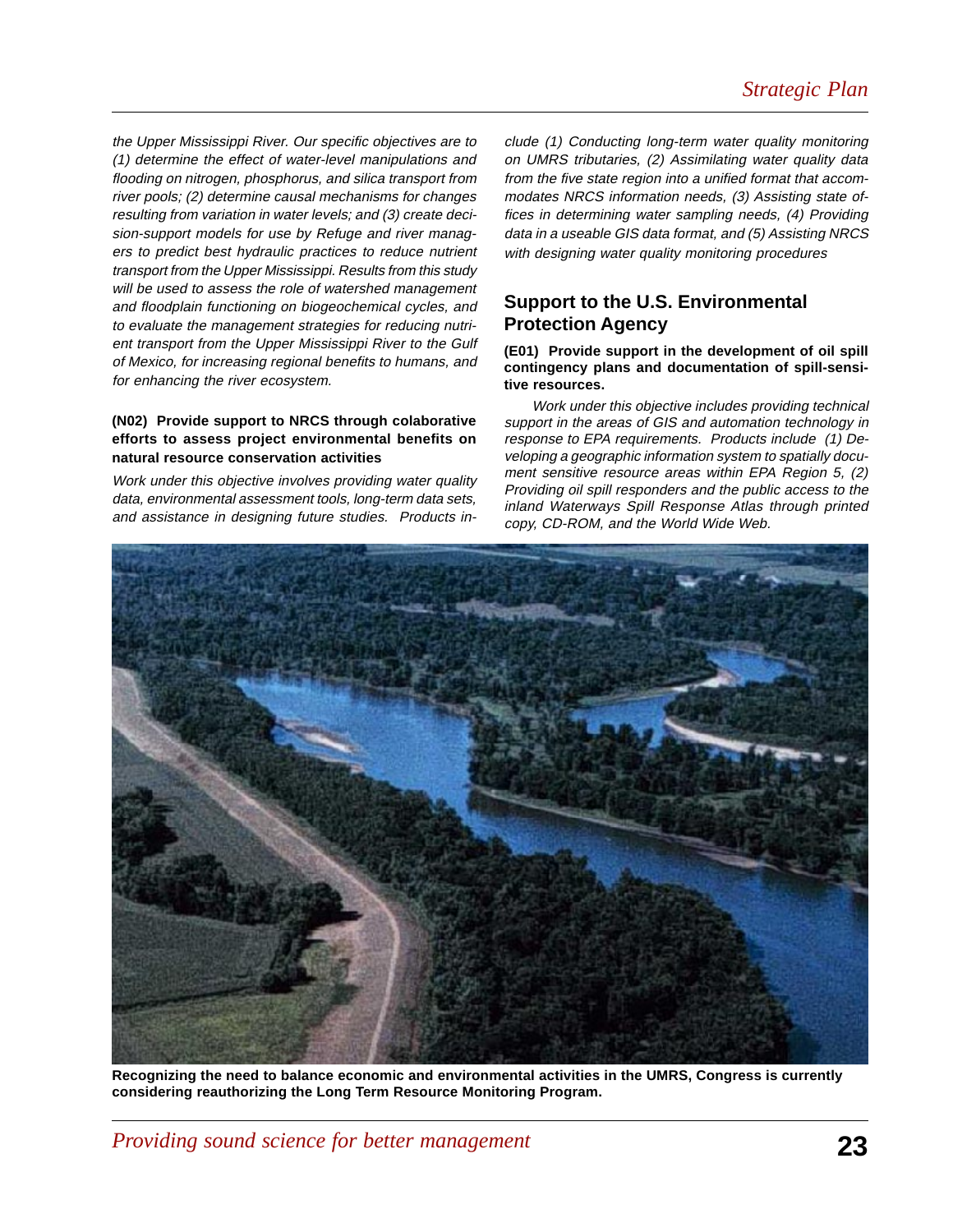the Upper Mississippi River. Our specific objectives are to (1) determine the effect of water-level manipulations and flooding on nitrogen, phosphorus, and silica transport from river pools; (2) determine causal mechanisms for changes resulting from variation in water levels; and (3) create decision-support models for use by Refuge and river managers to predict best hydraulic practices to reduce nutrient transport from the Upper Mississippi. Results from this study will be used to assess the role of watershed management and floodplain functioning on biogeochemical cycles, and to evaluate the management strategies for reducing nutrient transport from the Upper Mississippi River to the Gulf of Mexico, for increasing regional benefits to humans, and for enhancing the river ecosystem.

#### **(N02) Provide support to NRCS through colaborative efforts to assess project environmental benefits on natural resource conservation activities**

Work under this objective involves providing water quality data, environmental assessment tools, long-term data sets, and assistance in designing future studies. Products include (1) Conducting long-term water quality monitoring on UMRS tributaries, (2) Assimilating water quality data from the five state region into a unified format that accommodates NRCS information needs, (3) Assisting state offices in determining water sampling needs, (4) Providing data in a useable GIS data format, and (5) Assisting NRCS with designing water quality monitoring procedures

## **Support to the U.S. Environmental Protection Agency**

**(E01) Provide support in the development of oil spill contingency plans and documentation of spill-sensitive resources.**

Work under this objective includes providing technical support in the areas of GIS and automation technology in response to EPA requirements. Products include (1) Developing a geographic information system to spatially document sensitive resource areas within EPA Region 5, (2) Providing oil spill responders and the public access to the inland Waterways Spill Response Atlas through printed copy, CD-ROM, and the World Wide Web.



**Recognizing the need to balance economic and environmental activities in the UMRS, Congress is currently considering reauthorizing the Long Term Resource Monitoring Program.**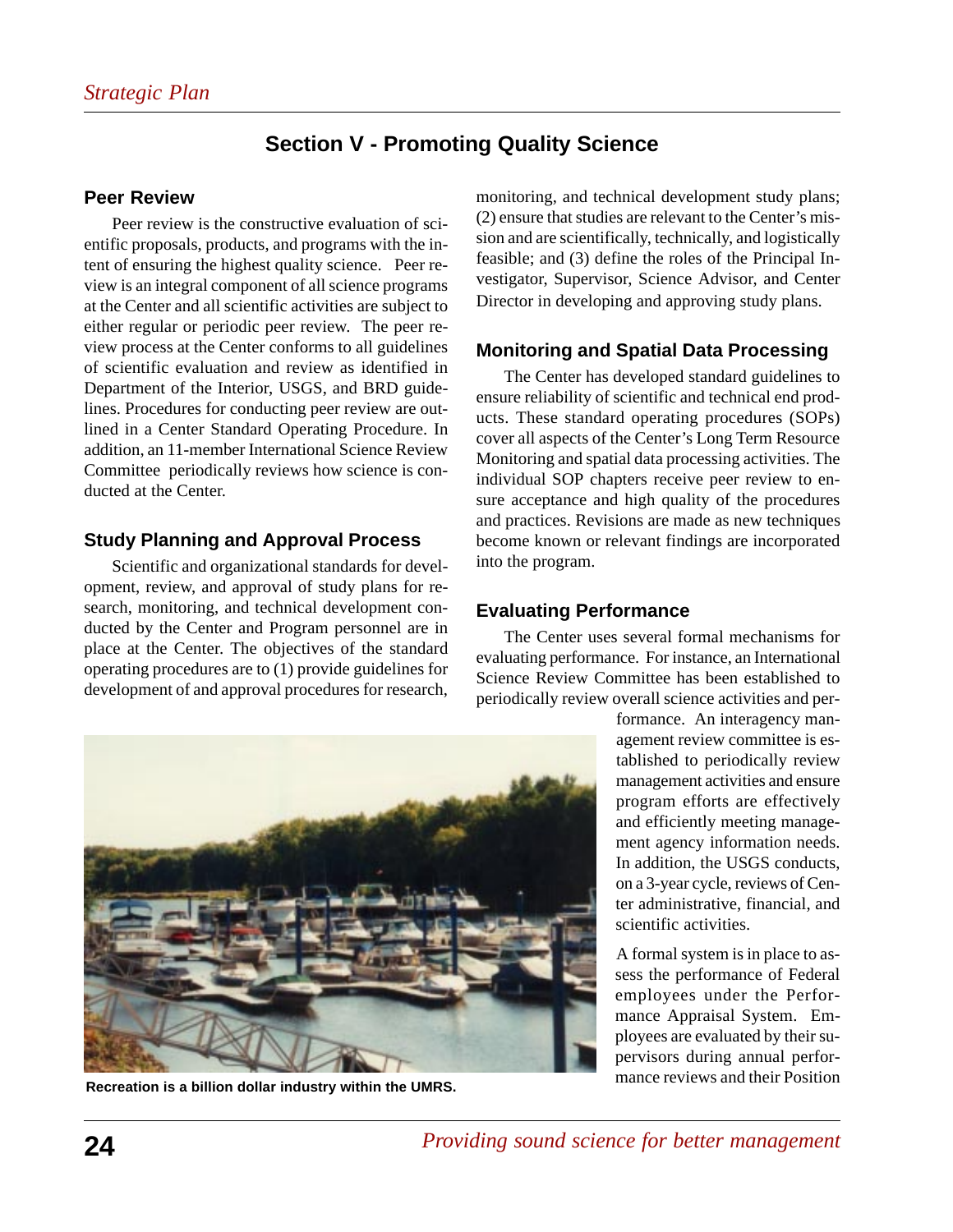## **Section V - Promoting Quality Science**

## **Peer Review**

Peer review is the constructive evaluation of scientific proposals, products, and programs with the intent of ensuring the highest quality science. Peer review is an integral component of all science programs at the Center and all scientific activities are subject to either regular or periodic peer review. The peer review process at the Center conforms to all guidelines of scientific evaluation and review as identified in Department of the Interior, USGS, and BRD guidelines. Procedures for conducting peer review are outlined in a Center Standard Operating Procedure. In addition, an 11-member International Science Review Committee periodically reviews how science is conducted at the Center.

## **Study Planning and Approval Process**

Scientific and organizational standards for development, review, and approval of study plans for research, monitoring, and technical development conducted by the Center and Program personnel are in place at the Center. The objectives of the standard operating procedures are to (1) provide guidelines for development of and approval procedures for research, monitoring, and technical development study plans; (2) ensure that studies are relevant to the Center's mission and are scientifically, technically, and logistically feasible; and (3) define the roles of the Principal Investigator, Supervisor, Science Advisor, and Center Director in developing and approving study plans.

## **Monitoring and Spatial Data Processing**

The Center has developed standard guidelines to ensure reliability of scientific and technical end products. These standard operating procedures (SOPs) cover all aspects of the Center's Long Term Resource Monitoring and spatial data processing activities. The individual SOP chapters receive peer review to ensure acceptance and high quality of the procedures and practices. Revisions are made as new techniques become known or relevant findings are incorporated into the program.

## **Evaluating Performance**

The Center uses several formal mechanisms for evaluating performance. For instance, an International Science Review Committee has been established to periodically review overall science activities and per-

> formance. An interagency management review committee is established to periodically review management activities and ensure program efforts are effectively and efficiently meeting management agency information needs. In addition, the USGS conducts, on a 3-year cycle, reviews of Center administrative, financial, and scientific activities.

A formal system is in place to assess the performance of Federal employees under the Performance Appraisal System. Employees are evaluated by their supervisors during annual performance reviews and their Position



**Recreation is a billion dollar industry within the UMRS.**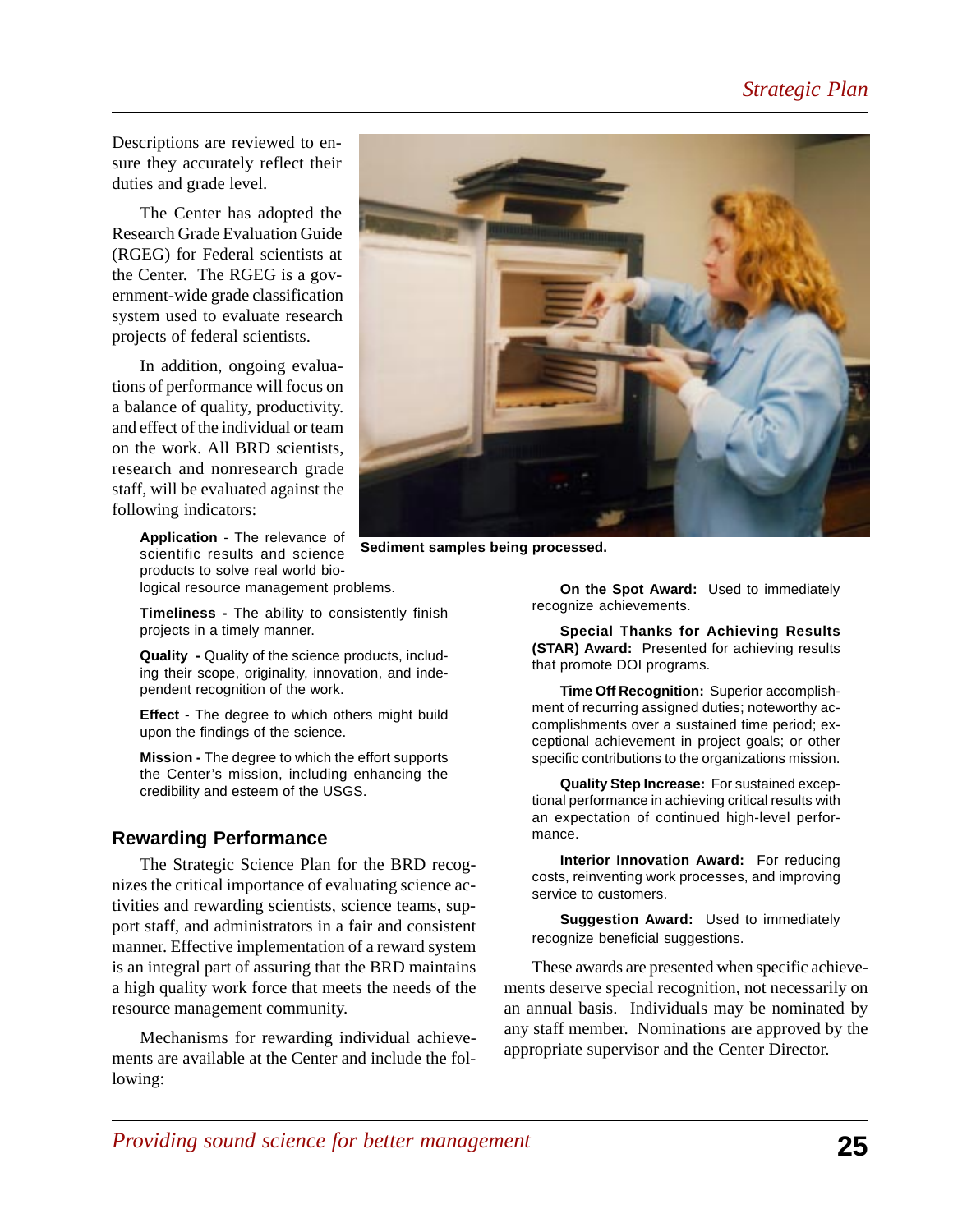Descriptions are reviewed to ensure they accurately reflect their duties and grade level.

The Center has adopted the Research Grade Evaluation Guide (RGEG) for Federal scientists at the Center. The RGEG is a government-wide grade classification system used to evaluate research projects of federal scientists.

In addition, ongoing evaluations of performance will focus on a balance of quality, productivity. and effect of the individual or team on the work. All BRD scientists, research and nonresearch grade staff, will be evaluated against the following indicators:

> **Application** - The relevance of scientific results and science products to solve real world biological resource management problems.

**Timeliness -** The ability to consistently finish projects in a timely manner.

**Quality -** Quality of the science products, including their scope, originality, innovation, and independent recognition of the work.

**Effect** - The degree to which others might build upon the findings of the science.

**Mission -** The degree to which the effort supports the Center's mission, including enhancing the credibility and esteem of the USGS.

#### **Rewarding Performance**

The Strategic Science Plan for the BRD recognizes the critical importance of evaluating science activities and rewarding scientists, science teams, support staff, and administrators in a fair and consistent manner. Effective implementation of a reward system is an integral part of assuring that the BRD maintains a high quality work force that meets the needs of the resource management community.

Mechanisms for rewarding individual achievements are available at the Center and include the following:



**Sediment samples being processed.**

**On the Spot Award:** Used to immediately recognize achievements.

**Special Thanks for Achieving Results (STAR) Award:** Presented for achieving results that promote DOI programs.

**Time Off Recognition:** Superior accomplishment of recurring assigned duties; noteworthy accomplishments over a sustained time period; exceptional achievement in project goals; or other specific contributions to the organizations mission.

**Quality Step Increase:** For sustained exceptional performance in achieving critical results with an expectation of continued high-level performance.

**Interior Innovation Award:** For reducing costs, reinventing work processes, and improving service to customers.

**Suggestion Award:** Used to immediately recognize beneficial suggestions.

These awards are presented when specific achievements deserve special recognition, not necessarily on an annual basis. Individuals may be nominated by any staff member. Nominations are approved by the appropriate supervisor and the Center Director.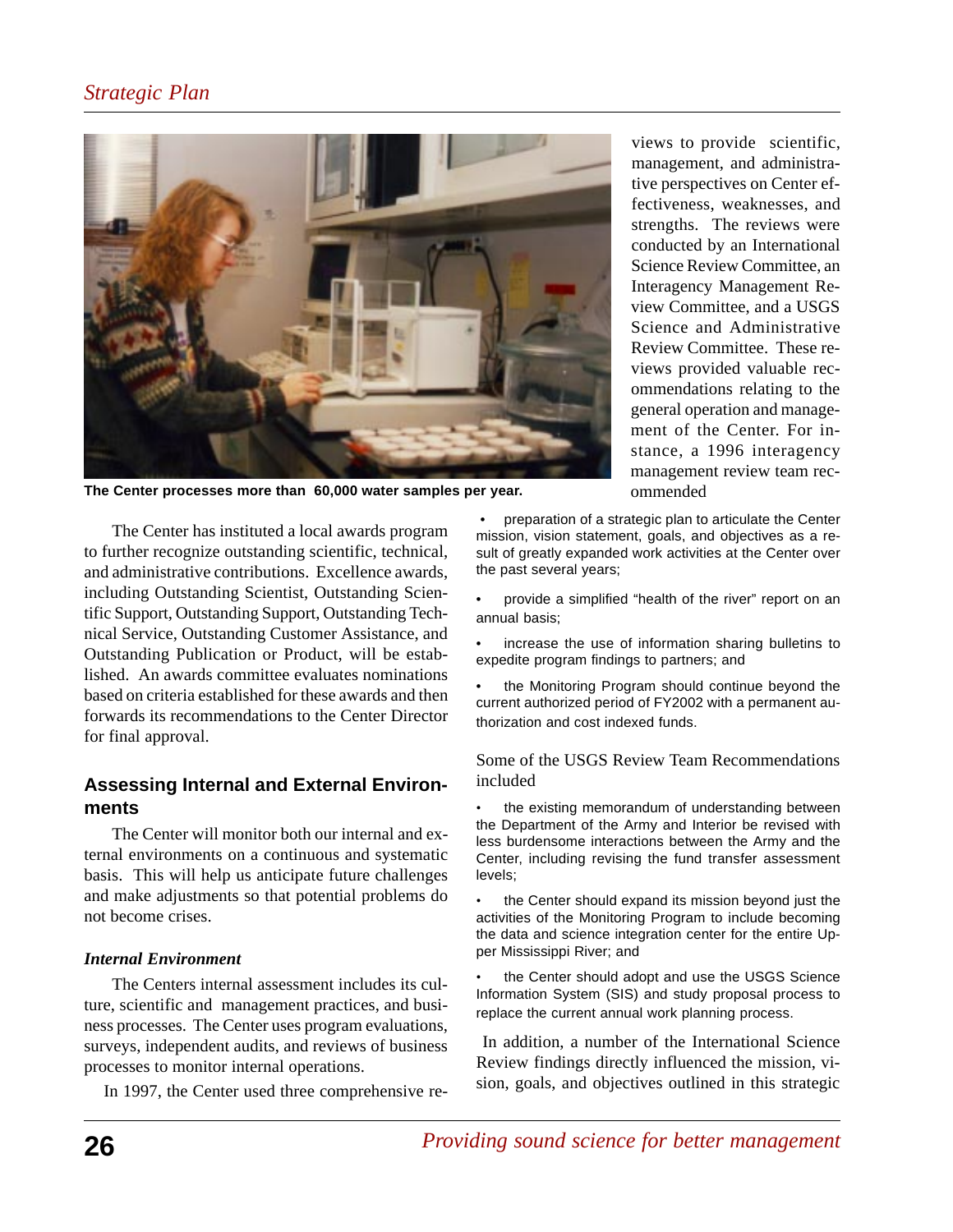## *Strategic Plan*



**The Center processes more than 60,000 water samples per year.**

The Center has instituted a local awards program to further recognize outstanding scientific, technical, and administrative contributions. Excellence awards, including Outstanding Scientist, Outstanding Scientific Support, Outstanding Support, Outstanding Technical Service, Outstanding Customer Assistance, and Outstanding Publication or Product, will be established. An awards committee evaluates nominations based on criteria established for these awards and then forwards its recommendations to the Center Director for final approval.

## **Assessing Internal and External Environments**

The Center will monitor both our internal and external environments on a continuous and systematic basis. This will help us anticipate future challenges and make adjustments so that potential problems do not become crises.

#### *Internal Environment*

The Centers internal assessment includes its culture, scientific and management practices, and business processes. The Center uses program evaluations, surveys, independent audits, and reviews of business processes to monitor internal operations.

In 1997, the Center used three comprehensive re-

views to provide scientific, management, and administrative perspectives on Center effectiveness, weaknesses, and strengths. The reviews were conducted by an International Science Review Committee, an Interagency Management Review Committee, and a USGS Science and Administrative Review Committee. These reviews provided valuable recommendations relating to the general operation and management of the Center. For instance, a 1996 interagency management review team recommended

• preparation of a strategic plan to articulate the Center mission, vision statement, goals, and objectives as a result of greatly expanded work activities at the Center over the past several years;

• provide a simplified "health of the river" report on an annual basis;

• increase the use of information sharing bulletins to expedite program findings to partners; and

• the Monitoring Program should continue beyond the current authorized period of FY2002 with a permanent authorization and cost indexed funds.

Some of the USGS Review Team Recommendations included

the existing memorandum of understanding between the Department of the Army and Interior be revised with less burdensome interactions between the Army and the Center, including revising the fund transfer assessment levels;

• the Center should expand its mission beyond just the activities of the Monitoring Program to include becoming the data and science integration center for the entire Upper Mississippi River; and

the Center should adopt and use the USGS Science Information System (SIS) and study proposal process to replace the current annual work planning process.

 In addition, a number of the International Science Review findings directly influenced the mission, vision, goals, and objectives outlined in this strategic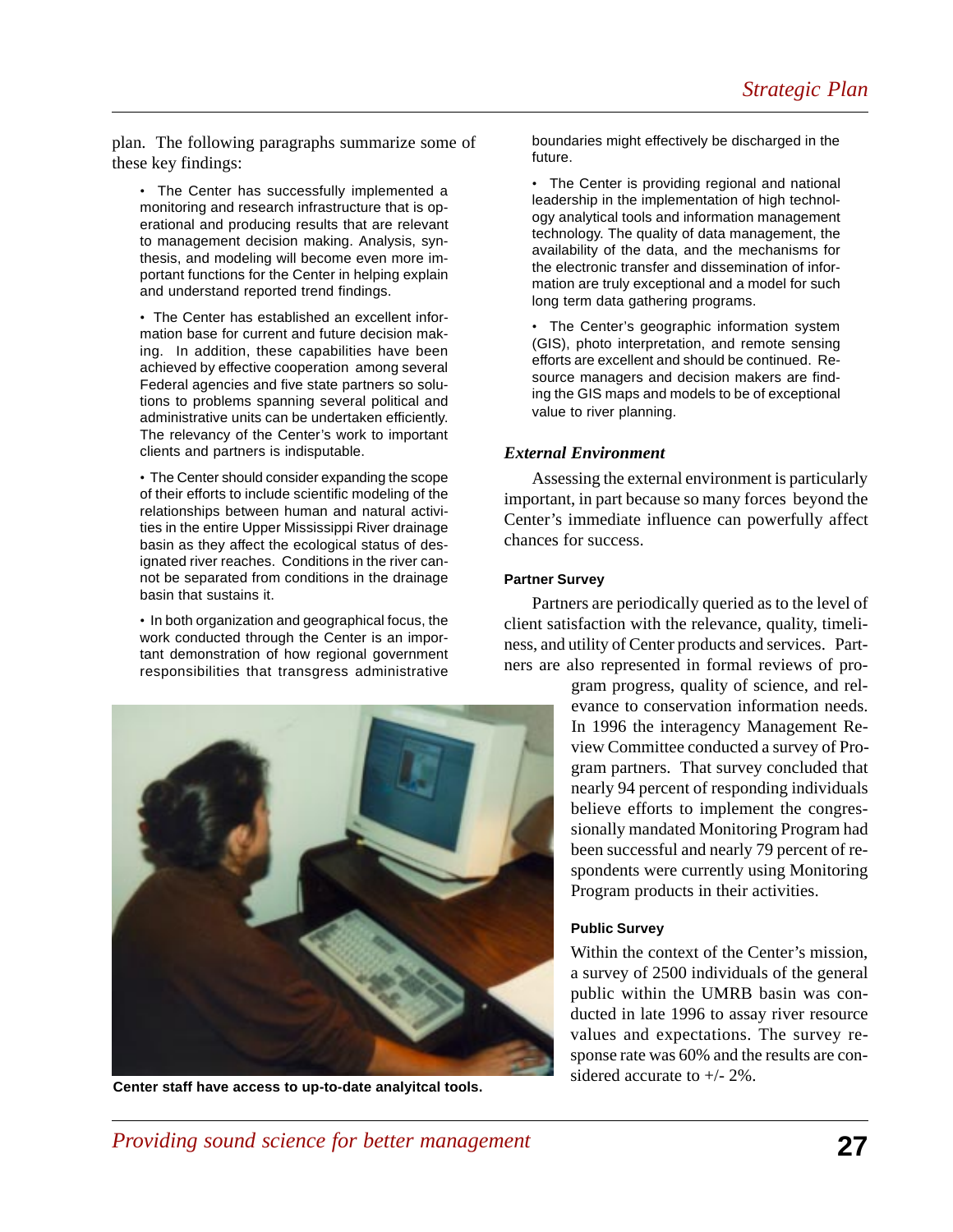plan. The following paragraphs summarize some of these key findings:

• The Center has successfully implemented a monitoring and research infrastructure that is operational and producing results that are relevant to management decision making. Analysis, synthesis, and modeling will become even more important functions for the Center in helping explain and understand reported trend findings.

• The Center has established an excellent information base for current and future decision making. In addition, these capabilities have been achieved by effective cooperation among several Federal agencies and five state partners so solutions to problems spanning several political and administrative units can be undertaken efficiently. The relevancy of the Center's work to important clients and partners is indisputable.

• The Center should consider expanding the scope of their efforts to include scientific modeling of the relationships between human and natural activities in the entire Upper Mississippi River drainage basin as they affect the ecological status of designated river reaches. Conditions in the river cannot be separated from conditions in the drainage basin that sustains it.

• In both organization and geographical focus, the work conducted through the Center is an important demonstration of how regional government responsibilities that transgress administrative



sidered accurate to +/- 2%. **Center staff have access to up-to-date analyitcal tools.**

boundaries might effectively be discharged in the future.

• The Center is providing regional and national leadership in the implementation of high technology analytical tools and information management technology. The quality of data management, the availability of the data, and the mechanisms for the electronic transfer and dissemination of information are truly exceptional and a model for such long term data gathering programs.

• The Center's geographic information system (GIS), photo interpretation, and remote sensing efforts are excellent and should be continued. Resource managers and decision makers are finding the GIS maps and models to be of exceptional value to river planning.

#### *External Environment*

Assessing the external environment is particularly important, in part because so many forces beyond the Center's immediate influence can powerfully affect chances for success.

#### **Partner Survey**

Partners are periodically queried as to the level of client satisfaction with the relevance, quality, timeliness, and utility of Center products and services. Partners are also represented in formal reviews of pro-

> gram progress, quality of science, and relevance to conservation information needs. In 1996 the interagency Management Review Committee conducted a survey of Program partners. That survey concluded that nearly 94 percent of responding individuals believe efforts to implement the congressionally mandated Monitoring Program had been successful and nearly 79 percent of respondents were currently using Monitoring Program products in their activities.

#### **Public Survey**

Within the context of the Center's mission, a survey of 2500 individuals of the general public within the UMRB basin was conducted in late 1996 to assay river resource values and expectations. The survey response rate was 60% and the results are con-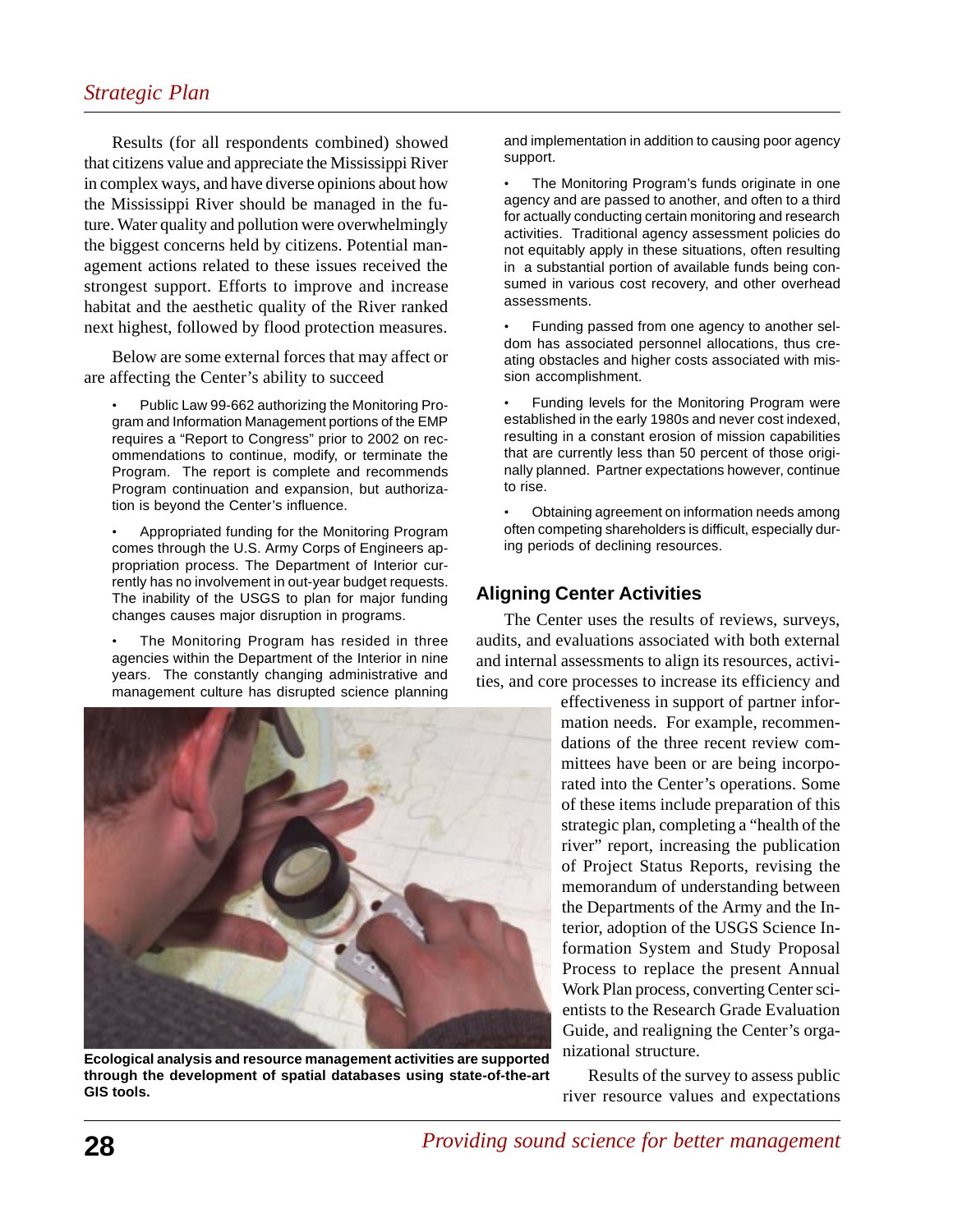Results (for all respondents combined) showed that citizens value and appreciate the Mississippi River in complex ways, and have diverse opinions about how the Mississippi River should be managed in the future. Water quality and pollution were overwhelmingly the biggest concerns held by citizens. Potential management actions related to these issues received the strongest support. Efforts to improve and increase habitat and the aesthetic quality of the River ranked next highest, followed by flood protection measures.

Below are some external forces that may affect or are affecting the Center's ability to succeed

• Public Law 99-662 authorizing the Monitoring Program and Information Management portions of the EMP requires a "Report to Congress" prior to 2002 on recommendations to continue, modify, or terminate the Program. The report is complete and recommends Program continuation and expansion, but authorization is beyond the Center's influence.

• Appropriated funding for the Monitoring Program comes through the U.S. Army Corps of Engineers appropriation process. The Department of Interior currently has no involvement in out-year budget requests. The inability of the USGS to plan for major funding changes causes major disruption in programs.

The Monitoring Program has resided in three agencies within the Department of the Interior in nine years. The constantly changing administrative and management culture has disrupted science planning



**Ecological analysis and resource management activities are supported through the development of spatial databases using state-of-the-art GIS tools.**

and implementation in addition to causing poor agency support.

The Monitoring Program's funds originate in one agency and are passed to another, and often to a third for actually conducting certain monitoring and research activities. Traditional agency assessment policies do not equitably apply in these situations, often resulting in a substantial portion of available funds being consumed in various cost recovery, and other overhead assessments.

• Funding passed from one agency to another seldom has associated personnel allocations, thus creating obstacles and higher costs associated with mission accomplishment.

• Funding levels for the Monitoring Program were established in the early 1980s and never cost indexed, resulting in a constant erosion of mission capabilities that are currently less than 50 percent of those originally planned. Partner expectations however, continue to rise.

• Obtaining agreement on information needs among often competing shareholders is difficult, especially during periods of declining resources.

## **Aligning Center Activities**

The Center uses the results of reviews, surveys, audits, and evaluations associated with both external and internal assessments to align its resources, activities, and core processes to increase its efficiency and

> effectiveness in support of partner information needs. For example, recommendations of the three recent review committees have been or are being incorporated into the Center's operations. Some of these items include preparation of this strategic plan, completing a "health of the river" report, increasing the publication of Project Status Reports, revising the memorandum of understanding between the Departments of the Army and the Interior, adoption of the USGS Science Information System and Study Proposal Process to replace the present Annual Work Plan process, converting Center scientists to the Research Grade Evaluation Guide, and realigning the Center's organizational structure.

> Results of the survey to assess public river resource values and expectations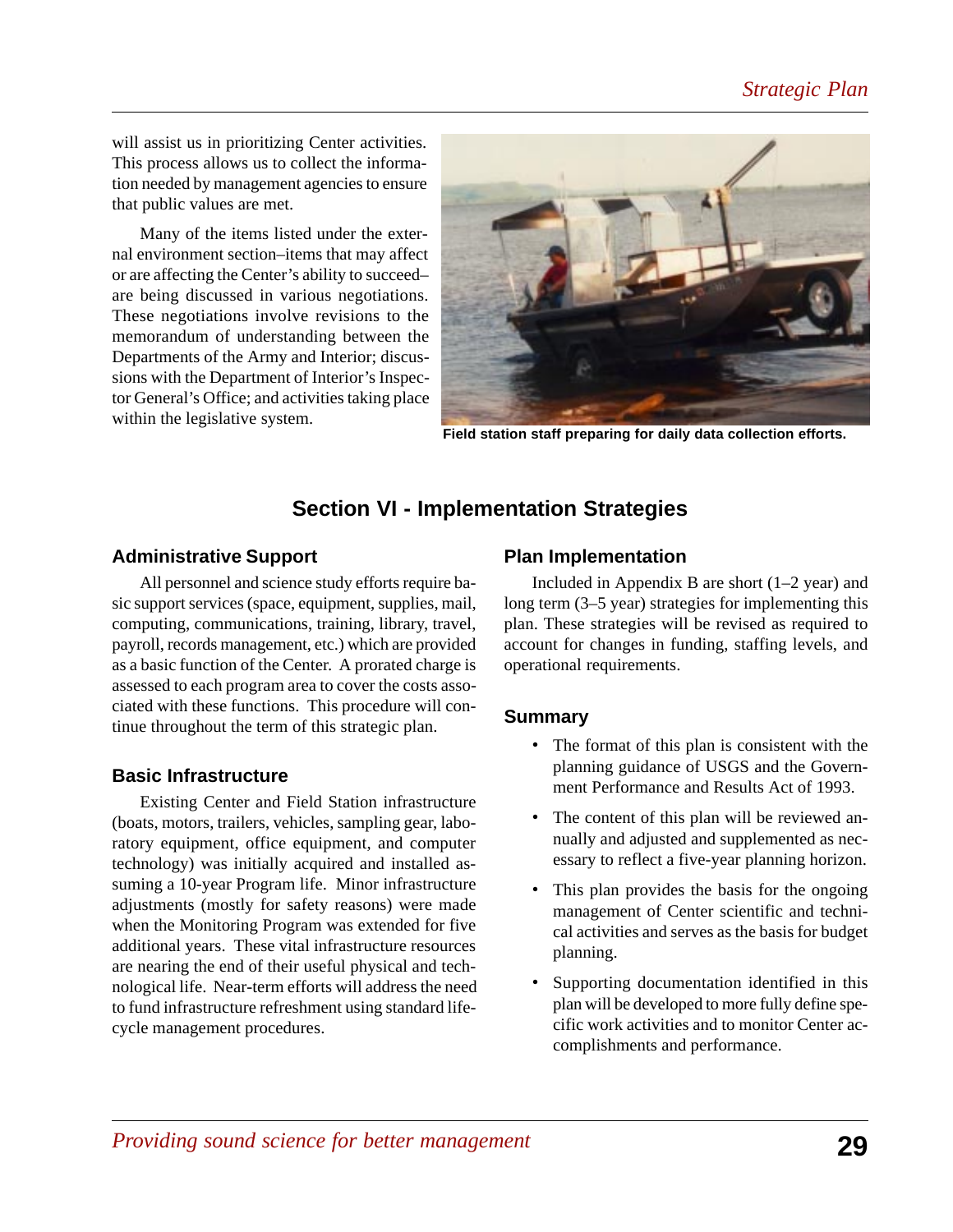will assist us in prioritizing Center activities. This process allows us to collect the information needed by management agencies to ensure that public values are met.

Many of the items listed under the external environment section–items that may affect or are affecting the Center's ability to succeed– are being discussed in various negotiations. These negotiations involve revisions to the memorandum of understanding between the Departments of the Army and Interior; discussions with the Department of Interior's Inspector General's Office; and activities taking place within the legislative system.



**Field station staff preparing for daily data collection efforts.**

## **Section VI - Implementation Strategies**

## **Administrative Support**

All personnel and science study efforts require basic support services (space, equipment, supplies, mail, computing, communications, training, library, travel, payroll, records management, etc.) which are provided as a basic function of the Center. A prorated charge is assessed to each program area to cover the costs associated with these functions. This procedure will continue throughout the term of this strategic plan.

## **Basic Infrastructure**

Existing Center and Field Station infrastructure (boats, motors, trailers, vehicles, sampling gear, laboratory equipment, office equipment, and computer technology) was initially acquired and installed assuming a 10-year Program life. Minor infrastructure adjustments (mostly for safety reasons) were made when the Monitoring Program was extended for five additional years. These vital infrastructure resources are nearing the end of their useful physical and technological life. Near-term efforts will address the need to fund infrastructure refreshment using standard lifecycle management procedures.

## **Plan Implementation**

Included in Appendix B are short  $(1-2 \text{ year})$  and long term (3–5 year) strategies for implementing this plan. These strategies will be revised as required to account for changes in funding, staffing levels, and operational requirements.

## **Summary**

- The format of this plan is consistent with the planning guidance of USGS and the Government Performance and Results Act of 1993.
- The content of this plan will be reviewed annually and adjusted and supplemented as necessary to reflect a five-year planning horizon.
- This plan provides the basis for the ongoing management of Center scientific and technical activities and serves as the basis for budget planning.
- Supporting documentation identified in this plan will be developed to more fully define specific work activities and to monitor Center accomplishments and performance.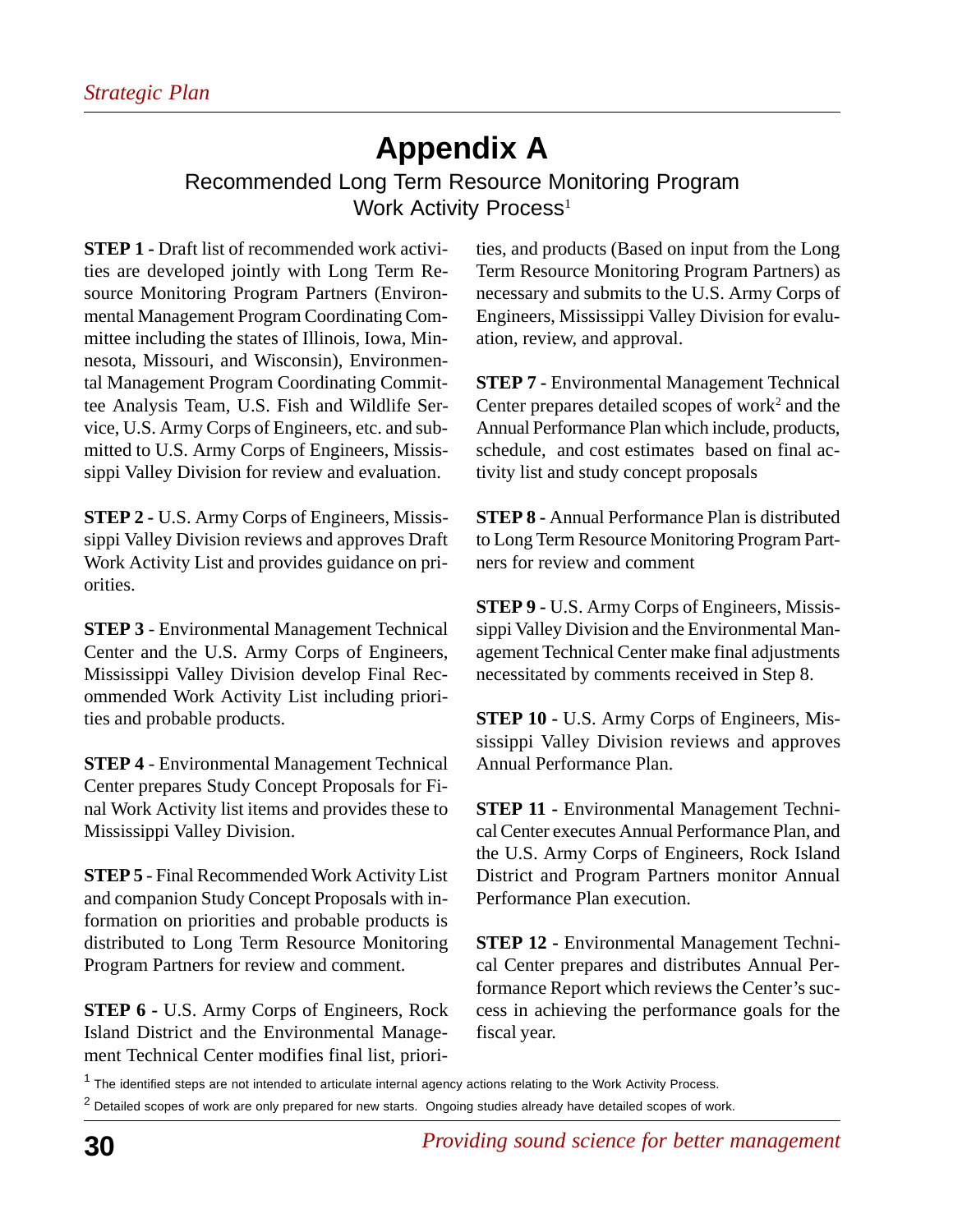# **Appendix A**

Recommended Long Term Resource Monitoring Program Work Activity Process<sup>1</sup>

**STEP 1 - Draft list of recommended work activi**ties are developed jointly with Long Term Resource Monitoring Program Partners (Environmental Management Program Coordinating Committee including the states of Illinois, Iowa, Minnesota, Missouri, and Wisconsin), Environmental Management Program Coordinating Committee Analysis Team, U.S. Fish and Wildlife Service, U.S. Army Corps of Engineers, etc. and submitted to U.S. Army Corps of Engineers, Mississippi Valley Division for review and evaluation.

**STEP 2 -** U.S. Army Corps of Engineers, Mississippi Valley Division reviews and approves Draft Work Activity List and provides guidance on priorities.

**STEP 3** - Environmental Management Technical Center and the U.S. Army Corps of Engineers, Mississippi Valley Division develop Final Recommended Work Activity List including priorities and probable products.

**STEP 4** - Environmental Management Technical Center prepares Study Concept Proposals for Final Work Activity list items and provides these to Mississippi Valley Division.

**STEP 5** - Final Recommended Work Activity List and companion Study Concept Proposals with information on priorities and probable products is distributed to Long Term Resource Monitoring Program Partners for review and comment.

**STEP 6 -** U.S. Army Corps of Engineers, Rock Island District and the Environmental Management Technical Center modifies final list, priorities, and products (Based on input from the Long Term Resource Monitoring Program Partners) as necessary and submits to the U.S. Army Corps of Engineers, Mississippi Valley Division for evaluation, review, and approval.

**STEP 7 -** Environmental Management Technical Center prepares detailed scopes of work<sup>2</sup> and the Annual Performance Plan which include, products, schedule, and cost estimates based on final activity list and study concept proposals

**STEP 8 -** Annual Performance Plan is distributed to Long Term Resource Monitoring Program Partners for review and comment

**STEP 9 -** U.S. Army Corps of Engineers, Mississippi Valley Division and the Environmental Management Technical Center make final adjustments necessitated by comments received in Step 8.

**STEP 10 -** U.S. Army Corps of Engineers, Mississippi Valley Division reviews and approves Annual Performance Plan.

**STEP 11 - Environmental Management Techni**cal Center executes Annual Performance Plan, and the U.S. Army Corps of Engineers, Rock Island District and Program Partners monitor Annual Performance Plan execution.

**STEP 12 -** Environmental Management Technical Center prepares and distributes Annual Performance Report which reviews the Center's success in achieving the performance goals for the fiscal year.

<sup>1</sup> The identified steps are not intended to articulate internal agency actions relating to the Work Activity Process.

 $^2$  Detailed scopes of work are only prepared for new starts. Ongoing studies already have detailed scopes of work.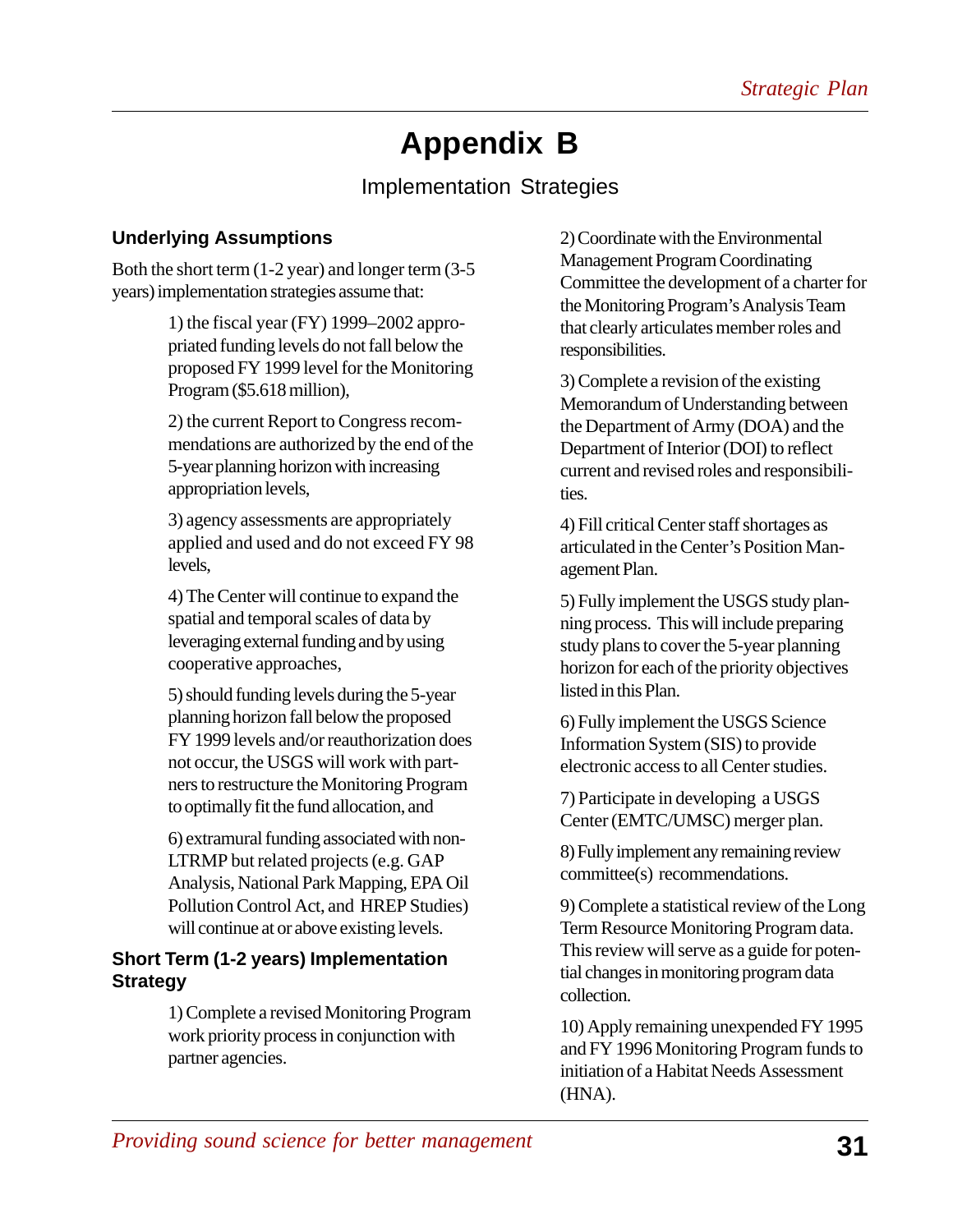# **Appendix B**

## Implementation Strategies

## **Underlying Assumptions**

Both the short term (1-2 year) and longer term (3-5 years) implementation strategies assume that:

> 1) the fiscal year (FY) 1999–2002 appropriated funding levels do not fall below the proposed FY 1999 level for the Monitoring Program (\$5.618 million),

> 2) the current Report to Congress recommendations are authorized by the end of the 5-year planning horizon with increasing appropriation levels,

> 3) agency assessments are appropriately applied and used and do not exceed FY 98 levels,

4) The Center will continue to expand the spatial and temporal scales of data by leveraging external funding and by using cooperative approaches,

5) should funding levels during the 5-year planning horizon fall below the proposed FY 1999 levels and/or reauthorization does not occur, the USGS will work with partners to restructure the Monitoring Program to optimally fit the fund allocation, and

6) extramural funding associated with non-LTRMP but related projects (e.g. GAP Analysis, National Park Mapping, EPA Oil Pollution Control Act, and HREP Studies) will continue at or above existing levels.

## **Short Term (1-2 years) Implementation Strategy**

1) Complete a revised Monitoring Program work priority process in conjunction with partner agencies.

2) Coordinate with the Environmental Management Program Coordinating Committee the development of a charter for the Monitoring Program's Analysis Team that clearly articulates member roles and responsibilities.

3) Complete a revision of the existing Memorandum of Understanding between the Department of Army (DOA) and the Department of Interior (DOI) to reflect current and revised roles and responsibilities.

4) Fill critical Center staff shortages as articulated in the Center's Position Management Plan.

5) Fully implement the USGS study planning process. This will include preparing study plans to cover the 5-year planning horizon for each of the priority objectives listed in this Plan.

6) Fully implement the USGS Science Information System (SIS) to provide electronic access to all Center studies.

7) Participate in developing a USGS Center (EMTC/UMSC) merger plan.

8) Fully implement any remaining review committee(s) recommendations.

9) Complete a statistical review of the Long Term Resource Monitoring Program data. This review will serve as a guide for potential changes in monitoring program data collection.

10) Apply remaining unexpended FY 1995 and FY 1996 Monitoring Program funds to initiation of a Habitat Needs Assessment (HNA).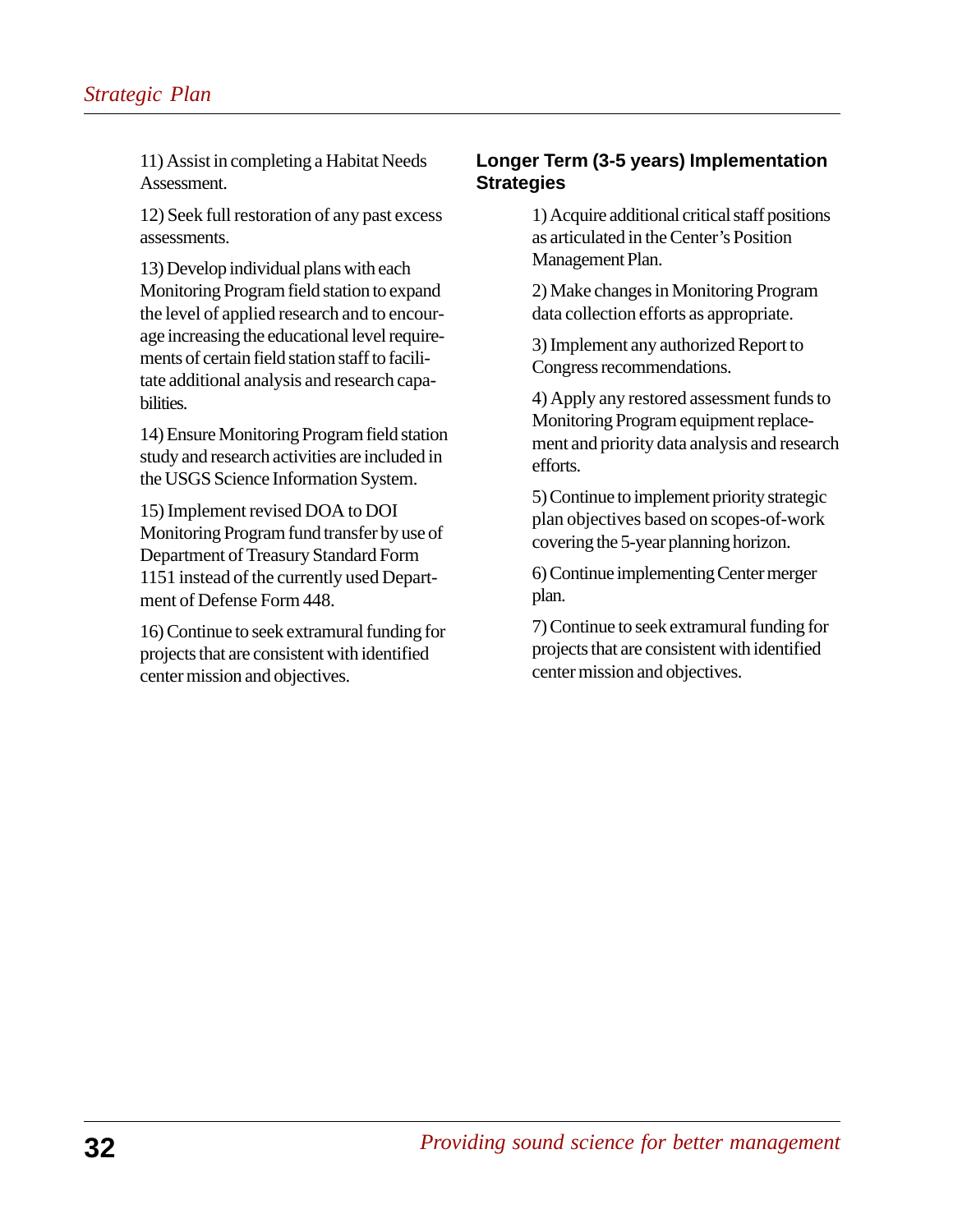11) Assist in completing a Habitat Needs Assessment.

12) Seek full restoration of any past excess assessments.

13) Develop individual plans with each Monitoring Program field station to expand the level of applied research and to encourage increasing the educational level requirements of certain field station staff to facilitate additional analysis and research capabilities.

14) Ensure Monitoring Program field station study and research activities are included in the USGS Science Information System.

15) Implement revised DOA to DOI Monitoring Program fund transfer by use of Department of Treasury Standard Form 1151 instead of the currently used Department of Defense Form 448.

16) Continue to seek extramural funding for projects that are consistent with identified center mission and objectives.

## **Longer Term (3-5 years) Implementation Strategies**

1) Acquire additional critical staff positions as articulated in the Center's Position Management Plan.

2) Make changes in Monitoring Program data collection efforts as appropriate.

3) Implement any authorized Report to Congress recommendations.

4) Apply any restored assessment funds to Monitoring Program equipment replacement and priority data analysis and research efforts.

5) Continue to implement priority strategic plan objectives based on scopes-of-work covering the 5-year planning horizon.

6) Continue implementing Center merger plan.

7) Continue to seek extramural funding for projects that are consistent with identified center mission and objectives.